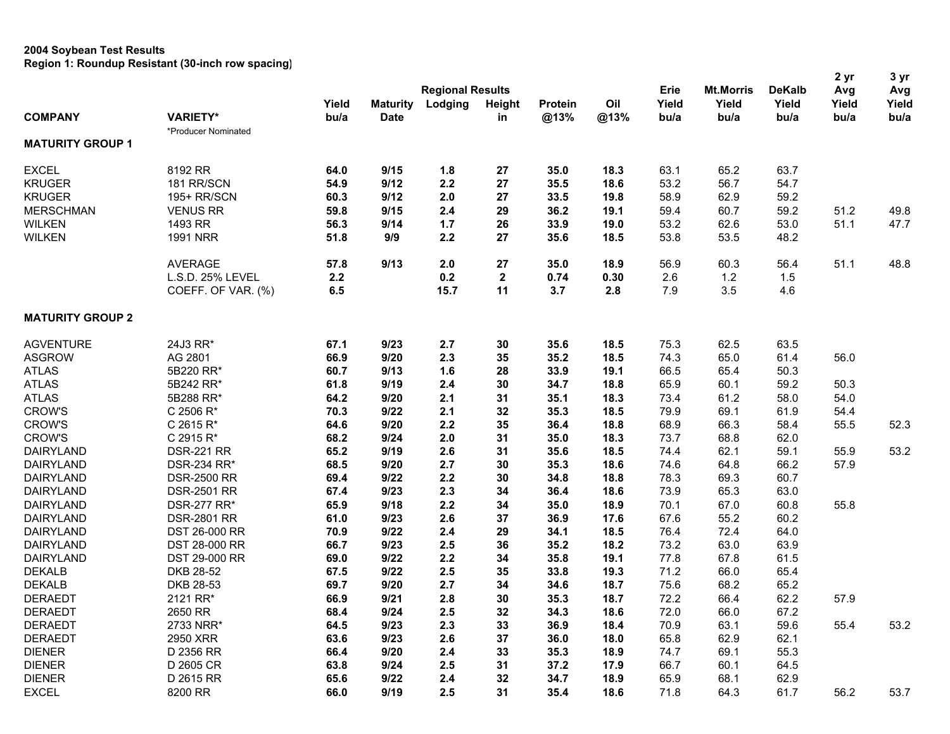| <b>Regional Results</b><br><b>Mt.Morris</b><br><b>DeKalb</b><br>Erie<br>Avg<br>Avg<br>Oil<br>Yield<br>Yield<br>Yield<br>Yield<br>Yield<br><b>Maturity</b><br>Lodging<br>Height<br><b>Protein</b><br>Yield<br><b>COMPANY</b><br><b>VARIETY*</b><br>bu/a<br><b>Date</b><br>@13%<br>@13%<br>bu/a<br>in<br>bu/a<br>bu/a<br>bu/a<br>bu/a<br>*Producer Nominated<br><b>MATURITY GROUP 1</b><br><b>EXCEL</b><br>8192 RR<br>9/15<br>1.8<br>65.2<br>63.7<br>64.0<br>27<br>35.0<br>18.3<br>63.1<br>2.2<br>53.2<br>56.7<br>54.7<br>181 RR/SCN<br>54.9<br>9/12<br>27<br>35.5<br>18.6<br>59.2<br>195+ RR/SCN<br>9/12<br>2.0<br>27<br>33.5<br>19.8<br>58.9<br>62.9<br>60.3<br><b>VENUS RR</b><br>9/15<br>2.4<br>29<br>60.7<br>59.2<br>51.2<br>49.8<br>59.8<br>36.2<br>19.1<br>59.4<br>47.7<br>1493 RR<br>1.7<br>33.9<br>53.2<br>62.6<br>53.0<br>51.1<br>56.3<br>9/14<br>26<br>19.0<br><b>WILKEN</b><br><b>1991 NRR</b><br>9/9<br>2.2<br>27<br>35.6<br>53.8<br>53.5<br>48.2<br>51.8<br>18.5<br>9/13<br>2.0<br>27<br>18.9<br>56.9<br>60.3<br>56.4<br>51.1<br>48.8<br><b>AVERAGE</b><br>57.8<br>35.0<br>L.S.D. 25% LEVEL<br>0.2<br>$\mathbf{2}$<br>1.2<br>2.2<br>0.74<br>0.30<br>2.6<br>1.5<br>11<br>3.5<br>COEFF. OF VAR. (%)<br>6.5<br>15.7<br>3.7<br>2.8<br>7.9<br>4.6<br><b>MATURITY GROUP 2</b><br><b>AGVENTURE</b><br>24J3 RR*<br>67.1<br>9/23<br>2.7<br>18.5<br>75.3<br>62.5<br>63.5<br>30<br>35.6<br>66.9<br>9/20<br>2.3<br>65.0<br><b>ASGROW</b><br>AG 2801<br>35<br>35.2<br>18.5<br>74.3<br>61.4<br>56.0<br>1.6<br>50.3<br><b>ATLAS</b><br>5B220 RR*<br>60.7<br>9/13<br>28<br>33.9<br>19.1<br>66.5<br>65.4<br>50.3<br><b>ATLAS</b><br>5B242 RR*<br>9/19<br>2.4<br>30<br>65.9<br>60.1<br>59.2<br>61.8<br>34.7<br>18.8<br><b>ATLAS</b><br>5B288 RR*<br>9/20<br>2.1<br>31<br>35.1<br>18.3<br>73.4<br>61.2<br>58.0<br>54.0<br>64.2<br><b>CROW'S</b><br>C 2506 R*<br>9/22<br>2.1<br>32<br>35.3<br>18.5<br>79.9<br>69.1<br>54.4<br>70.3<br>61.9<br><b>CROW'S</b><br>C 2615 R*<br>9/20<br>2.2<br>35<br>36.4<br>18.8<br>68.9<br>66.3<br>58.4<br>55.5<br>52.3<br>64.6<br><b>CROW'S</b><br>C 2915 R*<br>9/24<br>2.0<br>31<br>73.7<br>68.8<br>62.0<br>68.2<br>35.0<br>18.3<br>2.6<br>62.1<br>53.2<br><b>DAIRYLAND</b><br><b>DSR-221 RR</b><br>65.2<br>9/19<br>31<br>35.6<br>18.5<br>74.4<br>59.1<br>55.9<br>2.7<br><b>DAIRYLAND</b><br><b>DSR-234 RR*</b><br>68.5<br>9/20<br>30<br>35.3<br>18.6<br>74.6<br>64.8<br>66.2<br>57.9<br>2.2<br>69.3<br><b>DAIRYLAND</b><br><b>DSR-2500 RR</b><br>69.4<br>9/22<br>30<br>34.8<br>18.8<br>78.3<br>60.7<br>2.3<br><b>DAIRYLAND</b><br><b>DSR-2501 RR</b><br>67.4<br>9/23<br>34<br>36.4<br>18.6<br>73.9<br>65.3<br>63.0<br>55.8<br><b>DAIRYLAND</b><br><b>DSR-277 RR*</b><br>65.9<br>9/18<br>2.2<br>34<br>35.0<br>18.9<br>70.1<br>67.0<br>60.8<br>2.6<br><b>DAIRYLAND</b><br><b>DSR-2801 RR</b><br>61.0<br>9/23<br>37<br>36.9<br>17.6<br>67.6<br>55.2<br>60.2<br>9/22<br>2.4<br>29<br>76.4<br>72.4<br>64.0<br>DAIRYLAND<br><b>DST 26-000 RR</b><br>70.9<br>34.1<br>18.5<br><b>DAIRYLAND</b><br>66.7<br>9/23<br>2.5<br>36<br>35.2<br>18.2<br>73.2<br>63.0<br>63.9<br>DST 28-000 RR<br>2.2<br>77.8<br><b>DAIRYLAND</b><br>DST 29-000 RR<br>9/22<br>34<br>35.8<br>67.8<br>61.5<br>69.0<br>19.1<br>DKB 28-52<br><b>DEKALB</b><br>9/22<br>2.5<br>35<br>33.8<br>71.2<br>66.0<br>65.4<br>67.5<br>19.3<br>2.7<br><b>DEKALB</b><br>DKB 28-53<br>9/20<br>34<br>18.7<br>68.2<br>65.2<br>69.7<br>34.6<br>75.6<br>57.9<br><b>DERAEDT</b><br>2121 RR*<br>9/21<br>2.8<br>72.2<br>66.4<br>62.2<br>66.9<br>30<br>35.3<br>18.7<br><b>DERAEDT</b><br>2650 RR<br>68.4<br>9/24<br>2.5<br>32<br>34.3<br>18.6<br>72.0<br>66.0<br>67.2<br>53.2<br>2.3<br>70.9<br>55.4<br><b>DERAEDT</b><br>2733 NRR*<br>64.5<br>9/23<br>33<br>36.9<br>18.4<br>63.1<br>59.6<br><b>DERAEDT</b><br>63.6<br>9/23<br>2.6<br>37<br>65.8<br>62.9<br>62.1<br>2950 XRR<br>36.0<br>18.0<br>55.3<br><b>DIENER</b><br>9/20<br>2.4<br>33<br>74.7<br>69.1<br>D 2356 RR<br>66.4<br>35.3<br>18.9<br><b>DIENER</b><br>2.5<br>66.7<br>64.5<br>D 2605 CR<br>63.8<br>9/24<br>31<br>37.2<br>17.9<br>60.1<br><b>DIENER</b><br>65.9<br>62.9<br>D 2615 RR<br>65.6<br>9/22<br>2.4<br>32<br>34.7<br>18.9<br>68.1 |                  |         |      |      |     |    |      |      |      |      |      | 2 yr | 3 yr |
|--------------------------------------------------------------------------------------------------------------------------------------------------------------------------------------------------------------------------------------------------------------------------------------------------------------------------------------------------------------------------------------------------------------------------------------------------------------------------------------------------------------------------------------------------------------------------------------------------------------------------------------------------------------------------------------------------------------------------------------------------------------------------------------------------------------------------------------------------------------------------------------------------------------------------------------------------------------------------------------------------------------------------------------------------------------------------------------------------------------------------------------------------------------------------------------------------------------------------------------------------------------------------------------------------------------------------------------------------------------------------------------------------------------------------------------------------------------------------------------------------------------------------------------------------------------------------------------------------------------------------------------------------------------------------------------------------------------------------------------------------------------------------------------------------------------------------------------------------------------------------------------------------------------------------------------------------------------------------------------------------------------------------------------------------------------------------------------------------------------------------------------------------------------------------------------------------------------------------------------------------------------------------------------------------------------------------------------------------------------------------------------------------------------------------------------------------------------------------------------------------------------------------------------------------------------------------------------------------------------------------------------------------------------------------------------------------------------------------------------------------------------------------------------------------------------------------------------------------------------------------------------------------------------------------------------------------------------------------------------------------------------------------------------------------------------------------------------------------------------------------------------------------------------------------------------------------------------------------------------------------------------------------------------------------------------------------------------------------------------------------------------------------------------------------------------------------------------------------------------------------------------------------------------------------------------------------------------------------------------------------------------------------------------------------------------------------------------------------------------------------------------------------------------------------------------------------------------------------------------------------------------------------------------------------------------------------------------------------------------------------------------------------------------------------------------------------------------------------------------------------------------------------------------------|------------------|---------|------|------|-----|----|------|------|------|------|------|------|------|
|                                                                                                                                                                                                                                                                                                                                                                                                                                                                                                                                                                                                                                                                                                                                                                                                                                                                                                                                                                                                                                                                                                                                                                                                                                                                                                                                                                                                                                                                                                                                                                                                                                                                                                                                                                                                                                                                                                                                                                                                                                                                                                                                                                                                                                                                                                                                                                                                                                                                                                                                                                                                                                                                                                                                                                                                                                                                                                                                                                                                                                                                                                                                                                                                                                                                                                                                                                                                                                                                                                                                                                                                                                                                                                                                                                                                                                                                                                                                                                                                                                                                                                                                                                    |                  |         |      |      |     |    |      |      |      |      |      |      |      |
|                                                                                                                                                                                                                                                                                                                                                                                                                                                                                                                                                                                                                                                                                                                                                                                                                                                                                                                                                                                                                                                                                                                                                                                                                                                                                                                                                                                                                                                                                                                                                                                                                                                                                                                                                                                                                                                                                                                                                                                                                                                                                                                                                                                                                                                                                                                                                                                                                                                                                                                                                                                                                                                                                                                                                                                                                                                                                                                                                                                                                                                                                                                                                                                                                                                                                                                                                                                                                                                                                                                                                                                                                                                                                                                                                                                                                                                                                                                                                                                                                                                                                                                                                                    |                  |         |      |      |     |    |      |      |      |      |      |      |      |
|                                                                                                                                                                                                                                                                                                                                                                                                                                                                                                                                                                                                                                                                                                                                                                                                                                                                                                                                                                                                                                                                                                                                                                                                                                                                                                                                                                                                                                                                                                                                                                                                                                                                                                                                                                                                                                                                                                                                                                                                                                                                                                                                                                                                                                                                                                                                                                                                                                                                                                                                                                                                                                                                                                                                                                                                                                                                                                                                                                                                                                                                                                                                                                                                                                                                                                                                                                                                                                                                                                                                                                                                                                                                                                                                                                                                                                                                                                                                                                                                                                                                                                                                                                    |                  |         |      |      |     |    |      |      |      |      |      |      |      |
|                                                                                                                                                                                                                                                                                                                                                                                                                                                                                                                                                                                                                                                                                                                                                                                                                                                                                                                                                                                                                                                                                                                                                                                                                                                                                                                                                                                                                                                                                                                                                                                                                                                                                                                                                                                                                                                                                                                                                                                                                                                                                                                                                                                                                                                                                                                                                                                                                                                                                                                                                                                                                                                                                                                                                                                                                                                                                                                                                                                                                                                                                                                                                                                                                                                                                                                                                                                                                                                                                                                                                                                                                                                                                                                                                                                                                                                                                                                                                                                                                                                                                                                                                                    |                  |         |      |      |     |    |      |      |      |      |      |      |      |
|                                                                                                                                                                                                                                                                                                                                                                                                                                                                                                                                                                                                                                                                                                                                                                                                                                                                                                                                                                                                                                                                                                                                                                                                                                                                                                                                                                                                                                                                                                                                                                                                                                                                                                                                                                                                                                                                                                                                                                                                                                                                                                                                                                                                                                                                                                                                                                                                                                                                                                                                                                                                                                                                                                                                                                                                                                                                                                                                                                                                                                                                                                                                                                                                                                                                                                                                                                                                                                                                                                                                                                                                                                                                                                                                                                                                                                                                                                                                                                                                                                                                                                                                                                    | <b>KRUGER</b>    |         |      |      |     |    |      |      |      |      |      |      |      |
|                                                                                                                                                                                                                                                                                                                                                                                                                                                                                                                                                                                                                                                                                                                                                                                                                                                                                                                                                                                                                                                                                                                                                                                                                                                                                                                                                                                                                                                                                                                                                                                                                                                                                                                                                                                                                                                                                                                                                                                                                                                                                                                                                                                                                                                                                                                                                                                                                                                                                                                                                                                                                                                                                                                                                                                                                                                                                                                                                                                                                                                                                                                                                                                                                                                                                                                                                                                                                                                                                                                                                                                                                                                                                                                                                                                                                                                                                                                                                                                                                                                                                                                                                                    | <b>KRUGER</b>    |         |      |      |     |    |      |      |      |      |      |      |      |
|                                                                                                                                                                                                                                                                                                                                                                                                                                                                                                                                                                                                                                                                                                                                                                                                                                                                                                                                                                                                                                                                                                                                                                                                                                                                                                                                                                                                                                                                                                                                                                                                                                                                                                                                                                                                                                                                                                                                                                                                                                                                                                                                                                                                                                                                                                                                                                                                                                                                                                                                                                                                                                                                                                                                                                                                                                                                                                                                                                                                                                                                                                                                                                                                                                                                                                                                                                                                                                                                                                                                                                                                                                                                                                                                                                                                                                                                                                                                                                                                                                                                                                                                                                    | <b>MERSCHMAN</b> |         |      |      |     |    |      |      |      |      |      |      |      |
|                                                                                                                                                                                                                                                                                                                                                                                                                                                                                                                                                                                                                                                                                                                                                                                                                                                                                                                                                                                                                                                                                                                                                                                                                                                                                                                                                                                                                                                                                                                                                                                                                                                                                                                                                                                                                                                                                                                                                                                                                                                                                                                                                                                                                                                                                                                                                                                                                                                                                                                                                                                                                                                                                                                                                                                                                                                                                                                                                                                                                                                                                                                                                                                                                                                                                                                                                                                                                                                                                                                                                                                                                                                                                                                                                                                                                                                                                                                                                                                                                                                                                                                                                                    | <b>WILKEN</b>    |         |      |      |     |    |      |      |      |      |      |      |      |
|                                                                                                                                                                                                                                                                                                                                                                                                                                                                                                                                                                                                                                                                                                                                                                                                                                                                                                                                                                                                                                                                                                                                                                                                                                                                                                                                                                                                                                                                                                                                                                                                                                                                                                                                                                                                                                                                                                                                                                                                                                                                                                                                                                                                                                                                                                                                                                                                                                                                                                                                                                                                                                                                                                                                                                                                                                                                                                                                                                                                                                                                                                                                                                                                                                                                                                                                                                                                                                                                                                                                                                                                                                                                                                                                                                                                                                                                                                                                                                                                                                                                                                                                                                    |                  |         |      |      |     |    |      |      |      |      |      |      |      |
|                                                                                                                                                                                                                                                                                                                                                                                                                                                                                                                                                                                                                                                                                                                                                                                                                                                                                                                                                                                                                                                                                                                                                                                                                                                                                                                                                                                                                                                                                                                                                                                                                                                                                                                                                                                                                                                                                                                                                                                                                                                                                                                                                                                                                                                                                                                                                                                                                                                                                                                                                                                                                                                                                                                                                                                                                                                                                                                                                                                                                                                                                                                                                                                                                                                                                                                                                                                                                                                                                                                                                                                                                                                                                                                                                                                                                                                                                                                                                                                                                                                                                                                                                                    |                  |         |      |      |     |    |      |      |      |      |      |      |      |
|                                                                                                                                                                                                                                                                                                                                                                                                                                                                                                                                                                                                                                                                                                                                                                                                                                                                                                                                                                                                                                                                                                                                                                                                                                                                                                                                                                                                                                                                                                                                                                                                                                                                                                                                                                                                                                                                                                                                                                                                                                                                                                                                                                                                                                                                                                                                                                                                                                                                                                                                                                                                                                                                                                                                                                                                                                                                                                                                                                                                                                                                                                                                                                                                                                                                                                                                                                                                                                                                                                                                                                                                                                                                                                                                                                                                                                                                                                                                                                                                                                                                                                                                                                    |                  |         |      |      |     |    |      |      |      |      |      |      |      |
|                                                                                                                                                                                                                                                                                                                                                                                                                                                                                                                                                                                                                                                                                                                                                                                                                                                                                                                                                                                                                                                                                                                                                                                                                                                                                                                                                                                                                                                                                                                                                                                                                                                                                                                                                                                                                                                                                                                                                                                                                                                                                                                                                                                                                                                                                                                                                                                                                                                                                                                                                                                                                                                                                                                                                                                                                                                                                                                                                                                                                                                                                                                                                                                                                                                                                                                                                                                                                                                                                                                                                                                                                                                                                                                                                                                                                                                                                                                                                                                                                                                                                                                                                                    |                  |         |      |      |     |    |      |      |      |      |      |      |      |
|                                                                                                                                                                                                                                                                                                                                                                                                                                                                                                                                                                                                                                                                                                                                                                                                                                                                                                                                                                                                                                                                                                                                                                                                                                                                                                                                                                                                                                                                                                                                                                                                                                                                                                                                                                                                                                                                                                                                                                                                                                                                                                                                                                                                                                                                                                                                                                                                                                                                                                                                                                                                                                                                                                                                                                                                                                                                                                                                                                                                                                                                                                                                                                                                                                                                                                                                                                                                                                                                                                                                                                                                                                                                                                                                                                                                                                                                                                                                                                                                                                                                                                                                                                    |                  |         |      |      |     |    |      |      |      |      |      |      |      |
|                                                                                                                                                                                                                                                                                                                                                                                                                                                                                                                                                                                                                                                                                                                                                                                                                                                                                                                                                                                                                                                                                                                                                                                                                                                                                                                                                                                                                                                                                                                                                                                                                                                                                                                                                                                                                                                                                                                                                                                                                                                                                                                                                                                                                                                                                                                                                                                                                                                                                                                                                                                                                                                                                                                                                                                                                                                                                                                                                                                                                                                                                                                                                                                                                                                                                                                                                                                                                                                                                                                                                                                                                                                                                                                                                                                                                                                                                                                                                                                                                                                                                                                                                                    |                  |         |      |      |     |    |      |      |      |      |      |      |      |
|                                                                                                                                                                                                                                                                                                                                                                                                                                                                                                                                                                                                                                                                                                                                                                                                                                                                                                                                                                                                                                                                                                                                                                                                                                                                                                                                                                                                                                                                                                                                                                                                                                                                                                                                                                                                                                                                                                                                                                                                                                                                                                                                                                                                                                                                                                                                                                                                                                                                                                                                                                                                                                                                                                                                                                                                                                                                                                                                                                                                                                                                                                                                                                                                                                                                                                                                                                                                                                                                                                                                                                                                                                                                                                                                                                                                                                                                                                                                                                                                                                                                                                                                                                    |                  |         |      |      |     |    |      |      |      |      |      |      |      |
|                                                                                                                                                                                                                                                                                                                                                                                                                                                                                                                                                                                                                                                                                                                                                                                                                                                                                                                                                                                                                                                                                                                                                                                                                                                                                                                                                                                                                                                                                                                                                                                                                                                                                                                                                                                                                                                                                                                                                                                                                                                                                                                                                                                                                                                                                                                                                                                                                                                                                                                                                                                                                                                                                                                                                                                                                                                                                                                                                                                                                                                                                                                                                                                                                                                                                                                                                                                                                                                                                                                                                                                                                                                                                                                                                                                                                                                                                                                                                                                                                                                                                                                                                                    |                  |         |      |      |     |    |      |      |      |      |      |      |      |
|                                                                                                                                                                                                                                                                                                                                                                                                                                                                                                                                                                                                                                                                                                                                                                                                                                                                                                                                                                                                                                                                                                                                                                                                                                                                                                                                                                                                                                                                                                                                                                                                                                                                                                                                                                                                                                                                                                                                                                                                                                                                                                                                                                                                                                                                                                                                                                                                                                                                                                                                                                                                                                                                                                                                                                                                                                                                                                                                                                                                                                                                                                                                                                                                                                                                                                                                                                                                                                                                                                                                                                                                                                                                                                                                                                                                                                                                                                                                                                                                                                                                                                                                                                    |                  |         |      |      |     |    |      |      |      |      |      |      |      |
|                                                                                                                                                                                                                                                                                                                                                                                                                                                                                                                                                                                                                                                                                                                                                                                                                                                                                                                                                                                                                                                                                                                                                                                                                                                                                                                                                                                                                                                                                                                                                                                                                                                                                                                                                                                                                                                                                                                                                                                                                                                                                                                                                                                                                                                                                                                                                                                                                                                                                                                                                                                                                                                                                                                                                                                                                                                                                                                                                                                                                                                                                                                                                                                                                                                                                                                                                                                                                                                                                                                                                                                                                                                                                                                                                                                                                                                                                                                                                                                                                                                                                                                                                                    |                  |         |      |      |     |    |      |      |      |      |      |      |      |
|                                                                                                                                                                                                                                                                                                                                                                                                                                                                                                                                                                                                                                                                                                                                                                                                                                                                                                                                                                                                                                                                                                                                                                                                                                                                                                                                                                                                                                                                                                                                                                                                                                                                                                                                                                                                                                                                                                                                                                                                                                                                                                                                                                                                                                                                                                                                                                                                                                                                                                                                                                                                                                                                                                                                                                                                                                                                                                                                                                                                                                                                                                                                                                                                                                                                                                                                                                                                                                                                                                                                                                                                                                                                                                                                                                                                                                                                                                                                                                                                                                                                                                                                                                    |                  |         |      |      |     |    |      |      |      |      |      |      |      |
|                                                                                                                                                                                                                                                                                                                                                                                                                                                                                                                                                                                                                                                                                                                                                                                                                                                                                                                                                                                                                                                                                                                                                                                                                                                                                                                                                                                                                                                                                                                                                                                                                                                                                                                                                                                                                                                                                                                                                                                                                                                                                                                                                                                                                                                                                                                                                                                                                                                                                                                                                                                                                                                                                                                                                                                                                                                                                                                                                                                                                                                                                                                                                                                                                                                                                                                                                                                                                                                                                                                                                                                                                                                                                                                                                                                                                                                                                                                                                                                                                                                                                                                                                                    |                  |         |      |      |     |    |      |      |      |      |      |      |      |
|                                                                                                                                                                                                                                                                                                                                                                                                                                                                                                                                                                                                                                                                                                                                                                                                                                                                                                                                                                                                                                                                                                                                                                                                                                                                                                                                                                                                                                                                                                                                                                                                                                                                                                                                                                                                                                                                                                                                                                                                                                                                                                                                                                                                                                                                                                                                                                                                                                                                                                                                                                                                                                                                                                                                                                                                                                                                                                                                                                                                                                                                                                                                                                                                                                                                                                                                                                                                                                                                                                                                                                                                                                                                                                                                                                                                                                                                                                                                                                                                                                                                                                                                                                    |                  |         |      |      |     |    |      |      |      |      |      |      |      |
|                                                                                                                                                                                                                                                                                                                                                                                                                                                                                                                                                                                                                                                                                                                                                                                                                                                                                                                                                                                                                                                                                                                                                                                                                                                                                                                                                                                                                                                                                                                                                                                                                                                                                                                                                                                                                                                                                                                                                                                                                                                                                                                                                                                                                                                                                                                                                                                                                                                                                                                                                                                                                                                                                                                                                                                                                                                                                                                                                                                                                                                                                                                                                                                                                                                                                                                                                                                                                                                                                                                                                                                                                                                                                                                                                                                                                                                                                                                                                                                                                                                                                                                                                                    |                  |         |      |      |     |    |      |      |      |      |      |      |      |
|                                                                                                                                                                                                                                                                                                                                                                                                                                                                                                                                                                                                                                                                                                                                                                                                                                                                                                                                                                                                                                                                                                                                                                                                                                                                                                                                                                                                                                                                                                                                                                                                                                                                                                                                                                                                                                                                                                                                                                                                                                                                                                                                                                                                                                                                                                                                                                                                                                                                                                                                                                                                                                                                                                                                                                                                                                                                                                                                                                                                                                                                                                                                                                                                                                                                                                                                                                                                                                                                                                                                                                                                                                                                                                                                                                                                                                                                                                                                                                                                                                                                                                                                                                    |                  |         |      |      |     |    |      |      |      |      |      |      |      |
|                                                                                                                                                                                                                                                                                                                                                                                                                                                                                                                                                                                                                                                                                                                                                                                                                                                                                                                                                                                                                                                                                                                                                                                                                                                                                                                                                                                                                                                                                                                                                                                                                                                                                                                                                                                                                                                                                                                                                                                                                                                                                                                                                                                                                                                                                                                                                                                                                                                                                                                                                                                                                                                                                                                                                                                                                                                                                                                                                                                                                                                                                                                                                                                                                                                                                                                                                                                                                                                                                                                                                                                                                                                                                                                                                                                                                                                                                                                                                                                                                                                                                                                                                                    |                  |         |      |      |     |    |      |      |      |      |      |      |      |
|                                                                                                                                                                                                                                                                                                                                                                                                                                                                                                                                                                                                                                                                                                                                                                                                                                                                                                                                                                                                                                                                                                                                                                                                                                                                                                                                                                                                                                                                                                                                                                                                                                                                                                                                                                                                                                                                                                                                                                                                                                                                                                                                                                                                                                                                                                                                                                                                                                                                                                                                                                                                                                                                                                                                                                                                                                                                                                                                                                                                                                                                                                                                                                                                                                                                                                                                                                                                                                                                                                                                                                                                                                                                                                                                                                                                                                                                                                                                                                                                                                                                                                                                                                    |                  |         |      |      |     |    |      |      |      |      |      |      |      |
|                                                                                                                                                                                                                                                                                                                                                                                                                                                                                                                                                                                                                                                                                                                                                                                                                                                                                                                                                                                                                                                                                                                                                                                                                                                                                                                                                                                                                                                                                                                                                                                                                                                                                                                                                                                                                                                                                                                                                                                                                                                                                                                                                                                                                                                                                                                                                                                                                                                                                                                                                                                                                                                                                                                                                                                                                                                                                                                                                                                                                                                                                                                                                                                                                                                                                                                                                                                                                                                                                                                                                                                                                                                                                                                                                                                                                                                                                                                                                                                                                                                                                                                                                                    |                  |         |      |      |     |    |      |      |      |      |      |      |      |
|                                                                                                                                                                                                                                                                                                                                                                                                                                                                                                                                                                                                                                                                                                                                                                                                                                                                                                                                                                                                                                                                                                                                                                                                                                                                                                                                                                                                                                                                                                                                                                                                                                                                                                                                                                                                                                                                                                                                                                                                                                                                                                                                                                                                                                                                                                                                                                                                                                                                                                                                                                                                                                                                                                                                                                                                                                                                                                                                                                                                                                                                                                                                                                                                                                                                                                                                                                                                                                                                                                                                                                                                                                                                                                                                                                                                                                                                                                                                                                                                                                                                                                                                                                    |                  |         |      |      |     |    |      |      |      |      |      |      |      |
|                                                                                                                                                                                                                                                                                                                                                                                                                                                                                                                                                                                                                                                                                                                                                                                                                                                                                                                                                                                                                                                                                                                                                                                                                                                                                                                                                                                                                                                                                                                                                                                                                                                                                                                                                                                                                                                                                                                                                                                                                                                                                                                                                                                                                                                                                                                                                                                                                                                                                                                                                                                                                                                                                                                                                                                                                                                                                                                                                                                                                                                                                                                                                                                                                                                                                                                                                                                                                                                                                                                                                                                                                                                                                                                                                                                                                                                                                                                                                                                                                                                                                                                                                                    |                  |         |      |      |     |    |      |      |      |      |      |      |      |
|                                                                                                                                                                                                                                                                                                                                                                                                                                                                                                                                                                                                                                                                                                                                                                                                                                                                                                                                                                                                                                                                                                                                                                                                                                                                                                                                                                                                                                                                                                                                                                                                                                                                                                                                                                                                                                                                                                                                                                                                                                                                                                                                                                                                                                                                                                                                                                                                                                                                                                                                                                                                                                                                                                                                                                                                                                                                                                                                                                                                                                                                                                                                                                                                                                                                                                                                                                                                                                                                                                                                                                                                                                                                                                                                                                                                                                                                                                                                                                                                                                                                                                                                                                    |                  |         |      |      |     |    |      |      |      |      |      |      |      |
|                                                                                                                                                                                                                                                                                                                                                                                                                                                                                                                                                                                                                                                                                                                                                                                                                                                                                                                                                                                                                                                                                                                                                                                                                                                                                                                                                                                                                                                                                                                                                                                                                                                                                                                                                                                                                                                                                                                                                                                                                                                                                                                                                                                                                                                                                                                                                                                                                                                                                                                                                                                                                                                                                                                                                                                                                                                                                                                                                                                                                                                                                                                                                                                                                                                                                                                                                                                                                                                                                                                                                                                                                                                                                                                                                                                                                                                                                                                                                                                                                                                                                                                                                                    |                  |         |      |      |     |    |      |      |      |      |      |      |      |
|                                                                                                                                                                                                                                                                                                                                                                                                                                                                                                                                                                                                                                                                                                                                                                                                                                                                                                                                                                                                                                                                                                                                                                                                                                                                                                                                                                                                                                                                                                                                                                                                                                                                                                                                                                                                                                                                                                                                                                                                                                                                                                                                                                                                                                                                                                                                                                                                                                                                                                                                                                                                                                                                                                                                                                                                                                                                                                                                                                                                                                                                                                                                                                                                                                                                                                                                                                                                                                                                                                                                                                                                                                                                                                                                                                                                                                                                                                                                                                                                                                                                                                                                                                    |                  |         |      |      |     |    |      |      |      |      |      |      |      |
|                                                                                                                                                                                                                                                                                                                                                                                                                                                                                                                                                                                                                                                                                                                                                                                                                                                                                                                                                                                                                                                                                                                                                                                                                                                                                                                                                                                                                                                                                                                                                                                                                                                                                                                                                                                                                                                                                                                                                                                                                                                                                                                                                                                                                                                                                                                                                                                                                                                                                                                                                                                                                                                                                                                                                                                                                                                                                                                                                                                                                                                                                                                                                                                                                                                                                                                                                                                                                                                                                                                                                                                                                                                                                                                                                                                                                                                                                                                                                                                                                                                                                                                                                                    |                  |         |      |      |     |    |      |      |      |      |      |      |      |
|                                                                                                                                                                                                                                                                                                                                                                                                                                                                                                                                                                                                                                                                                                                                                                                                                                                                                                                                                                                                                                                                                                                                                                                                                                                                                                                                                                                                                                                                                                                                                                                                                                                                                                                                                                                                                                                                                                                                                                                                                                                                                                                                                                                                                                                                                                                                                                                                                                                                                                                                                                                                                                                                                                                                                                                                                                                                                                                                                                                                                                                                                                                                                                                                                                                                                                                                                                                                                                                                                                                                                                                                                                                                                                                                                                                                                                                                                                                                                                                                                                                                                                                                                                    |                  |         |      |      |     |    |      |      |      |      |      |      |      |
|                                                                                                                                                                                                                                                                                                                                                                                                                                                                                                                                                                                                                                                                                                                                                                                                                                                                                                                                                                                                                                                                                                                                                                                                                                                                                                                                                                                                                                                                                                                                                                                                                                                                                                                                                                                                                                                                                                                                                                                                                                                                                                                                                                                                                                                                                                                                                                                                                                                                                                                                                                                                                                                                                                                                                                                                                                                                                                                                                                                                                                                                                                                                                                                                                                                                                                                                                                                                                                                                                                                                                                                                                                                                                                                                                                                                                                                                                                                                                                                                                                                                                                                                                                    |                  |         |      |      |     |    |      |      |      |      |      |      |      |
|                                                                                                                                                                                                                                                                                                                                                                                                                                                                                                                                                                                                                                                                                                                                                                                                                                                                                                                                                                                                                                                                                                                                                                                                                                                                                                                                                                                                                                                                                                                                                                                                                                                                                                                                                                                                                                                                                                                                                                                                                                                                                                                                                                                                                                                                                                                                                                                                                                                                                                                                                                                                                                                                                                                                                                                                                                                                                                                                                                                                                                                                                                                                                                                                                                                                                                                                                                                                                                                                                                                                                                                                                                                                                                                                                                                                                                                                                                                                                                                                                                                                                                                                                                    |                  |         |      |      |     |    |      |      |      |      |      |      |      |
|                                                                                                                                                                                                                                                                                                                                                                                                                                                                                                                                                                                                                                                                                                                                                                                                                                                                                                                                                                                                                                                                                                                                                                                                                                                                                                                                                                                                                                                                                                                                                                                                                                                                                                                                                                                                                                                                                                                                                                                                                                                                                                                                                                                                                                                                                                                                                                                                                                                                                                                                                                                                                                                                                                                                                                                                                                                                                                                                                                                                                                                                                                                                                                                                                                                                                                                                                                                                                                                                                                                                                                                                                                                                                                                                                                                                                                                                                                                                                                                                                                                                                                                                                                    |                  |         |      |      |     |    |      |      |      |      |      |      |      |
|                                                                                                                                                                                                                                                                                                                                                                                                                                                                                                                                                                                                                                                                                                                                                                                                                                                                                                                                                                                                                                                                                                                                                                                                                                                                                                                                                                                                                                                                                                                                                                                                                                                                                                                                                                                                                                                                                                                                                                                                                                                                                                                                                                                                                                                                                                                                                                                                                                                                                                                                                                                                                                                                                                                                                                                                                                                                                                                                                                                                                                                                                                                                                                                                                                                                                                                                                                                                                                                                                                                                                                                                                                                                                                                                                                                                                                                                                                                                                                                                                                                                                                                                                                    |                  |         |      |      |     |    |      |      |      |      |      |      |      |
|                                                                                                                                                                                                                                                                                                                                                                                                                                                                                                                                                                                                                                                                                                                                                                                                                                                                                                                                                                                                                                                                                                                                                                                                                                                                                                                                                                                                                                                                                                                                                                                                                                                                                                                                                                                                                                                                                                                                                                                                                                                                                                                                                                                                                                                                                                                                                                                                                                                                                                                                                                                                                                                                                                                                                                                                                                                                                                                                                                                                                                                                                                                                                                                                                                                                                                                                                                                                                                                                                                                                                                                                                                                                                                                                                                                                                                                                                                                                                                                                                                                                                                                                                                    |                  |         |      |      |     |    |      |      |      |      |      |      |      |
|                                                                                                                                                                                                                                                                                                                                                                                                                                                                                                                                                                                                                                                                                                                                                                                                                                                                                                                                                                                                                                                                                                                                                                                                                                                                                                                                                                                                                                                                                                                                                                                                                                                                                                                                                                                                                                                                                                                                                                                                                                                                                                                                                                                                                                                                                                                                                                                                                                                                                                                                                                                                                                                                                                                                                                                                                                                                                                                                                                                                                                                                                                                                                                                                                                                                                                                                                                                                                                                                                                                                                                                                                                                                                                                                                                                                                                                                                                                                                                                                                                                                                                                                                                    |                  |         |      |      |     |    |      |      |      |      |      |      |      |
|                                                                                                                                                                                                                                                                                                                                                                                                                                                                                                                                                                                                                                                                                                                                                                                                                                                                                                                                                                                                                                                                                                                                                                                                                                                                                                                                                                                                                                                                                                                                                                                                                                                                                                                                                                                                                                                                                                                                                                                                                                                                                                                                                                                                                                                                                                                                                                                                                                                                                                                                                                                                                                                                                                                                                                                                                                                                                                                                                                                                                                                                                                                                                                                                                                                                                                                                                                                                                                                                                                                                                                                                                                                                                                                                                                                                                                                                                                                                                                                                                                                                                                                                                                    | <b>EXCEL</b>     | 8200 RR | 66.0 | 9/19 | 2.5 | 31 | 35.4 | 18.6 | 71.8 | 64.3 | 61.7 | 56.2 | 53.7 |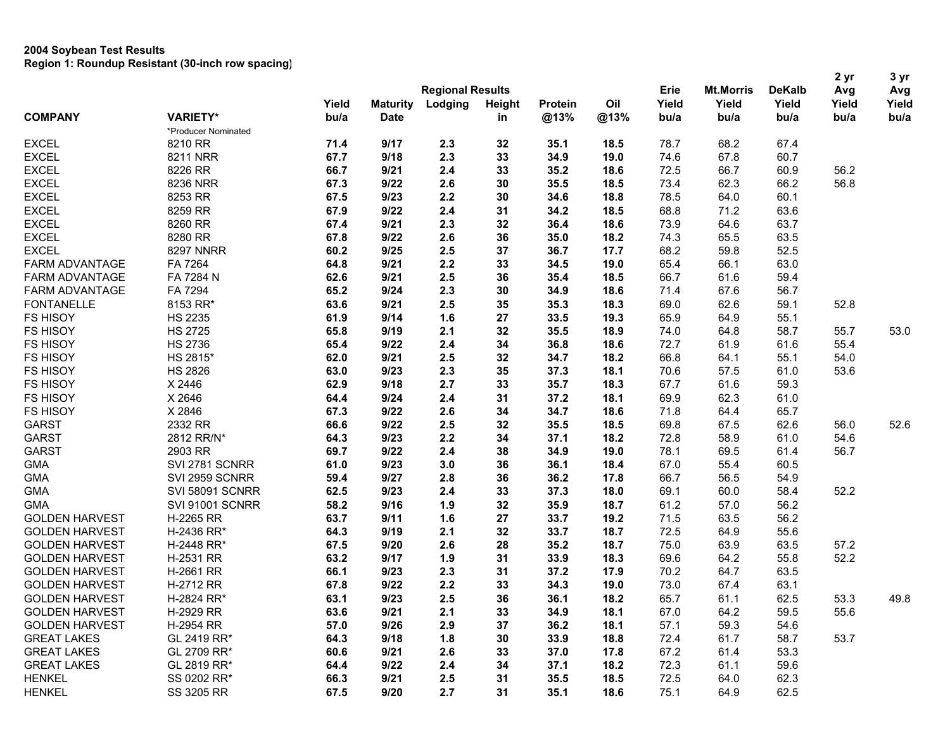|                       |                     |       |                 |                         |        |                |      |       |                  |               | 2 yr  | 3 yr<br>Avg |
|-----------------------|---------------------|-------|-----------------|-------------------------|--------|----------------|------|-------|------------------|---------------|-------|-------------|
|                       |                     |       |                 | <b>Regional Results</b> |        |                |      | Erie  | <b>Mt.Morris</b> | <b>DeKalb</b> | Avg   |             |
|                       |                     | Yield | <b>Maturity</b> | Lodging                 | Height | <b>Protein</b> | Oil  | Yield | Yield            | Yield         | Yield | Yield       |
| <b>COMPANY</b>        | <b>VARIETY*</b>     | bu/a  | <b>Date</b>     |                         | in     | @13%           | @13% | bu/a  | bu/a             | bu/a          | bu/a  | bu/a        |
|                       | *Producer Nominated |       |                 |                         |        |                |      |       |                  |               |       |             |
| <b>EXCEL</b>          | 8210 RR             | 71.4  | 9/17            | 2.3                     | 32     | 35.1           | 18.5 | 78.7  | 68.2             | 67.4          |       |             |
| <b>EXCEL</b>          | 8211 NRR            | 67.7  | 9/18            | 2.3                     | 33     | 34.9           | 19.0 | 74.6  | 67.8             | 60.7          |       |             |
| <b>EXCEL</b>          | 8226 RR             | 66.7  | 9/21            | 2.4                     | 33     | 35.2           | 18.6 | 72.5  | 66.7             | 60.9          | 56.2  |             |
| <b>EXCEL</b>          | 8236 NRR            | 67.3  | 9/22            | 2.6                     | 30     | 35.5           | 18.5 | 73.4  | 62.3             | 66.2          | 56.8  |             |
| <b>EXCEL</b>          | 8253 RR             | 67.5  | 9/23            | 2.2                     | 30     | 34.6           | 18.8 | 78.5  | 64.0             | 60.1          |       |             |
| <b>EXCEL</b>          | 8259 RR             | 67.9  | 9/22            | 2.4                     | 31     | 34.2           | 18.5 | 68.8  | 71.2             | 63.6          |       |             |
| <b>EXCEL</b>          | 8260 RR             | 67.4  | 9/21            | 2.3                     | 32     | 36.4           | 18.6 | 73.9  | 64.6             | 63.7          |       |             |
| <b>EXCEL</b>          | 8280 RR             | 67.8  | 9/22            | 2.6                     | 36     | 35.0           | 18.2 | 74.3  | 65.5             | 63.5          |       |             |
| <b>EXCEL</b>          | <b>8297 NNRR</b>    | 60.2  | 9/25            | 2.5                     | 37     | 36.7           | 17.7 | 68.2  | 59.8             | 52.5          |       |             |
| FARM ADVANTAGE        | FA 7264             | 64.8  | 9/21            | 2.2                     | 33     | 34.5           | 19.0 | 65.4  | 66.1             | 63.0          |       |             |
| FARM ADVANTAGE        | FA 7284 N           | 62.6  | 9/21            | 2.5                     | 36     | 35.4           | 18.5 | 66.7  | 61.6             | 59.4          |       |             |
| <b>FARM ADVANTAGE</b> | FA 7294             | 65.2  | 9/24            | 2.3                     | 30     | 34.9           | 18.6 | 71.4  | 67.6             | 56.7          |       |             |
| <b>FONTANELLE</b>     | 8153 RR*            | 63.6  | 9/21            | 2.5                     | 35     | 35.3           | 18.3 | 69.0  | 62.6             | 59.1          | 52.8  |             |
| <b>FS HISOY</b>       | <b>HS 2235</b>      | 61.9  | 9/14            | 1.6                     | 27     | 33.5           | 19.3 | 65.9  | 64.9             | 55.1          |       |             |
| <b>FS HISOY</b>       | <b>HS 2725</b>      | 65.8  | 9/19            | 2.1                     | 32     | 35.5           | 18.9 | 74.0  | 64.8             | 58.7          | 55.7  | 53.0        |
| FS HISOY              | <b>HS 2736</b>      | 65.4  | 9/22            | 2.4                     | 34     | 36.8           | 18.6 | 72.7  | 61.9             | 61.6          | 55.4  |             |
| <b>FS HISOY</b>       | HS 2815*            | 62.0  | 9/21            | 2.5                     | 32     | 34.7           | 18.2 | 66.8  | 64.1             | 55.1          | 54.0  |             |
| <b>FS HISOY</b>       | <b>HS 2826</b>      | 63.0  | 9/23            | 2.3                     | 35     | 37.3           | 18.1 | 70.6  | 57.5             | 61.0          | 53.6  |             |
| <b>FS HISOY</b>       | X 2446              | 62.9  | 9/18            | 2.7                     | 33     | 35.7           | 18.3 | 67.7  | 61.6             | 59.3          |       |             |
| FS HISOY              | X 2646              | 64.4  | 9/24            | 2.4                     | 31     | 37.2           | 18.1 | 69.9  | 62.3             | 61.0          |       |             |
| FS HISOY              | X 2846              | 67.3  | 9/22            | 2.6                     | 34     | 34.7           | 18.6 | 71.8  | 64.4             | 65.7          |       |             |
| <b>GARST</b>          | 2332 RR             | 66.6  | 9/22            | 2.5                     | 32     | 35.5           | 18.5 | 69.8  | 67.5             | 62.6          | 56.0  | 52.6        |
| <b>GARST</b>          | 2812 RR/N*          | 64.3  | 9/23            | 2.2                     | 34     | 37.1           | 18.2 | 72.8  | 58.9             | 61.0          | 54.6  |             |
| <b>GARST</b>          | 2903 RR             | 69.7  | 9/22            | 2.4                     | 38     | 34.9           | 19.0 | 78.1  | 69.5             | 61.4          | 56.7  |             |
| <b>GMA</b>            | SVI 2781 SCNRR      | 61.0  | 9/23            | 3.0                     | 36     | 36.1           | 18.4 | 67.0  | 55.4             | 60.5          |       |             |
| <b>GMA</b>            | SVI 2959 SCNRR      | 59.4  | 9/27            | 2.8                     | 36     | 36.2           | 17.8 | 66.7  | 56.5             | 54.9          |       |             |
| <b>GMA</b>            | SVI 58091 SCNRR     | 62.5  | 9/23            | 2.4                     | 33     | 37.3           | 18.0 | 69.1  | 60.0             | 58.4          | 52.2  |             |
| GMA                   | SVI 91001 SCNRR     | 58.2  | 9/16            | 1.9                     | 32     | 35.9           | 18.7 | 61.2  | 57.0             | 56.2          |       |             |
| <b>GOLDEN HARVEST</b> | H-2265 RR           | 63.7  | 9/11            | 1.6                     | 27     | 33.7           | 19.2 | 71.5  | 63.5             | 56.2          |       |             |
| <b>GOLDEN HARVEST</b> | H-2436 RR*          | 64.3  | 9/19            | 2.1                     | 32     | 33.7           | 18.7 | 72.5  | 64.9             | 55.6          |       |             |
| <b>GOLDEN HARVEST</b> | H-2448 RR*          | 67.5  | 9/20            | 2.6                     | 28     | 35.2           | 18.7 | 75.0  | 63.9             | 63.5          | 57.2  |             |
| <b>GOLDEN HARVEST</b> | H-2531 RR           | 63.2  | 9/17            | 1.9                     | 31     | 33.9           | 18.3 | 69.6  | 64.2             | 55.8          | 52.2  |             |
| <b>GOLDEN HARVEST</b> | H-2661 RR           | 66.1  | 9/23            | 2.3                     | 31     | 37.2           | 17.9 | 70.2  | 64.7             | 63.5          |       |             |
| <b>GOLDEN HARVEST</b> | H-2712 RR           | 67.8  | 9/22            | 2.2                     | 33     | 34.3           | 19.0 | 73.0  | 67.4             | 63.1          |       |             |
| <b>GOLDEN HARVEST</b> | H-2824 RR*          | 63.1  | 9/23            | 2.5                     | 36     | 36.1           | 18.2 | 65.7  | 61.1             | 62.5          | 53.3  | 49.8        |
| <b>GOLDEN HARVEST</b> | H-2929 RR           | 63.6  | 9/21            | 2.1                     | 33     | 34.9           | 18.1 | 67.0  | 64.2             | 59.5          | 55.6  |             |
| <b>GOLDEN HARVEST</b> | H-2954 RR           | 57.0  | 9/26            | 2.9                     | 37     | 36.2           | 18.1 | 57.1  | 59.3             | 54.6          |       |             |
| <b>GREAT LAKES</b>    | GL 2419 RR*         | 64.3  | 9/18            | 1.8                     | 30     | 33.9           | 18.8 | 72.4  | 61.7             | 58.7          | 53.7  |             |
| <b>GREAT LAKES</b>    | GL 2709 RR*         | 60.6  | 9/21            | 2.6                     | 33     | 37.0           | 17.8 | 67.2  | 61.4             | 53.3          |       |             |
| <b>GREAT LAKES</b>    | GL 2819 RR*         | 64.4  | 9/22            | 2.4                     | 34     | 37.1           | 18.2 | 72.3  | 61.1             | 59.6          |       |             |
| <b>HENKEL</b>         | SS 0202 RR*         | 66.3  | 9/21            | 2.5                     | 31     | 35.5           | 18.5 | 72.5  | 64.0             | 62.3          |       |             |
| <b>HENKEL</b>         | SS 3205 RR          | 67.5  | 9/20            | 2.7                     | 31     | 35.1           | 18.6 | 75.1  | 64.9             | 62.5          |       |             |
|                       |                     |       |                 |                         |        |                |      |       |                  |               |       |             |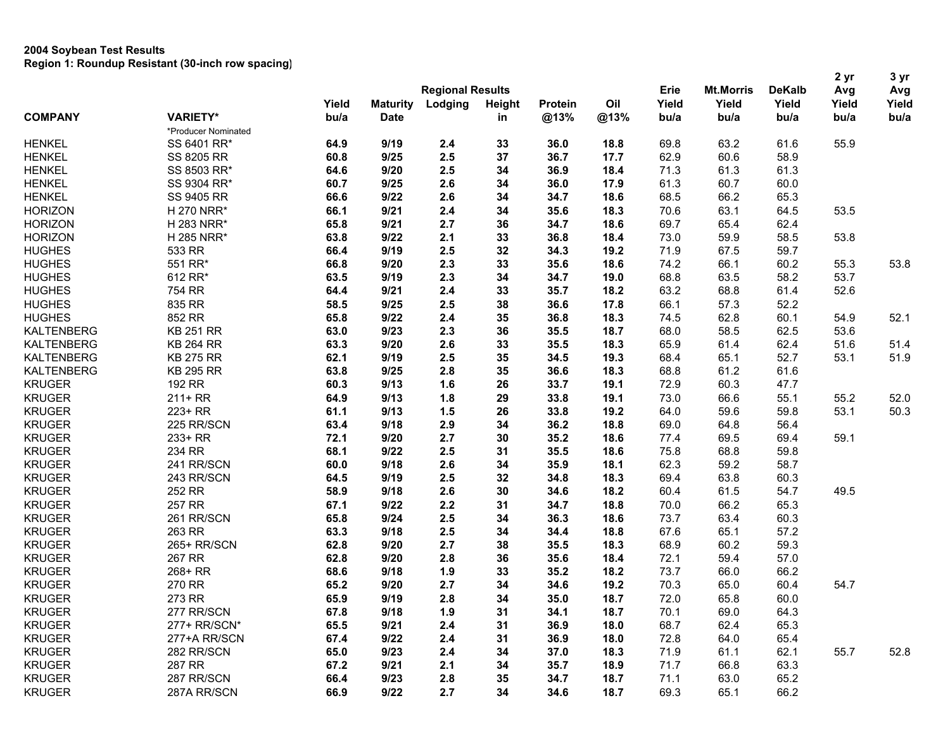|                   |                     |       |                 |                         |    |                   |      |               |                                   |                                | 2 <sub>yr</sub> | 3 yr                 |  |
|-------------------|---------------------|-------|-----------------|-------------------------|----|-------------------|------|---------------|-----------------------------------|--------------------------------|-----------------|----------------------|--|
|                   |                     |       |                 | <b>Regional Results</b> |    | Height<br>Protein | Oil  | Erie<br>Yield | <b>Mt.Morris</b><br>Yield<br>bu/a | <b>DeKalb</b><br>Yield<br>bu/a | Avg             | Avg<br>Yield<br>bu/a |  |
|                   |                     | Yield | <b>Maturity</b> | Lodging                 |    |                   |      |               |                                   |                                | Yield           |                      |  |
| <b>COMPANY</b>    | <b>VARIETY*</b>     | bu/a  | <b>Date</b>     |                         | in | @13%              | @13% | bu/a          |                                   |                                | bu/a            |                      |  |
|                   | *Producer Nominated |       |                 |                         |    |                   |      |               |                                   |                                |                 |                      |  |
| <b>HENKEL</b>     | SS 6401 RR*         | 64.9  | 9/19            | 2.4                     | 33 | 36.0              | 18.8 | 69.8          | 63.2                              | 61.6                           | 55.9            |                      |  |
| <b>HENKEL</b>     | <b>SS 8205 RR</b>   | 60.8  | 9/25            | 2.5                     | 37 | 36.7              | 17.7 | 62.9          | 60.6                              | 58.9                           |                 |                      |  |
| <b>HENKEL</b>     | SS 8503 RR*         | 64.6  | 9/20            | 2.5                     | 34 | 36.9              | 18.4 | 71.3          | 61.3                              | 61.3                           |                 |                      |  |
| <b>HENKEL</b>     | SS 9304 RR*         | 60.7  | 9/25            | 2.6                     | 34 | 36.0              | 17.9 | 61.3          | 60.7                              | 60.0                           |                 |                      |  |
| <b>HENKEL</b>     | SS 9405 RR          | 66.6  | 9/22            | 2.6                     | 34 | 34.7              | 18.6 | 68.5          | 66.2                              | 65.3                           |                 |                      |  |
| <b>HORIZON</b>    | H 270 NRR*          | 66.1  | 9/21            | 2.4                     | 34 | 35.6              | 18.3 | 70.6          | 63.1                              | 64.5                           | 53.5            |                      |  |
| <b>HORIZON</b>    | H 283 NRR*          | 65.8  | 9/21            | 2.7                     | 36 | 34.7              | 18.6 | 69.7          | 65.4                              | 62.4                           |                 |                      |  |
| <b>HORIZON</b>    | H 285 NRR*          | 63.8  | 9/22            | 2.1                     | 33 | 36.8              | 18.4 | 73.0          | 59.9                              | 58.5                           | 53.8            |                      |  |
| <b>HUGHES</b>     | 533 RR              | 66.4  | 9/19            | 2.5                     | 32 | 34.3              | 19.2 | 71.9          | 67.5                              | 59.7                           |                 |                      |  |
| <b>HUGHES</b>     | 551 RR*             | 66.8  | 9/20            | 2.3                     | 33 | 35.6              | 18.6 | 74.2          | 66.1                              | 60.2                           | 55.3            | 53.8                 |  |
| <b>HUGHES</b>     | 612 RR*             | 63.5  | 9/19            | 2.3                     | 34 | 34.7              | 19.0 | 68.8          | 63.5                              | 58.2                           | 53.7            |                      |  |
| <b>HUGHES</b>     | 754 RR              | 64.4  | 9/21            | 2.4                     | 33 | 35.7              | 18.2 | 63.2          | 68.8                              | 61.4                           | 52.6            |                      |  |
| <b>HUGHES</b>     | 835 RR              | 58.5  | 9/25            | 2.5                     | 38 | 36.6              | 17.8 | 66.1          | 57.3                              | 52.2                           |                 |                      |  |
| <b>HUGHES</b>     | 852 RR              | 65.8  | 9/22            | 2.4                     | 35 | 36.8              | 18.3 | 74.5          | 62.8                              | 60.1                           | 54.9            | 52.1                 |  |
| <b>KALTENBERG</b> | <b>KB 251 RR</b>    | 63.0  | 9/23            | 2.3                     | 36 | 35.5              | 18.7 | 68.0          | 58.5                              | 62.5                           | 53.6            |                      |  |
| <b>KALTENBERG</b> | <b>KB 264 RR</b>    | 63.3  | 9/20            | 2.6                     | 33 | 35.5              | 18.3 | 65.9          | 61.4                              | 62.4                           | 51.6            | 51.4                 |  |
| <b>KALTENBERG</b> | <b>KB 275 RR</b>    | 62.1  | 9/19            | 2.5                     | 35 | 34.5              | 19.3 | 68.4          | 65.1                              | 52.7                           | 53.1            | 51.9                 |  |
| <b>KALTENBERG</b> | <b>KB 295 RR</b>    | 63.8  | 9/25            | 2.8                     | 35 | 36.6              | 18.3 | 68.8          | 61.2                              | 61.6                           |                 |                      |  |
| <b>KRUGER</b>     | 192 RR              | 60.3  | 9/13            | 1.6                     | 26 | 33.7              | 19.1 | 72.9          | 60.3                              | 47.7                           |                 |                      |  |
| <b>KRUGER</b>     | $211+RR$            | 64.9  | 9/13            | 1.8                     | 29 | 33.8              | 19.1 | 73.0          | 66.6                              | 55.1                           | 55.2            | 52.0                 |  |
| <b>KRUGER</b>     | 223+ RR             | 61.1  | 9/13            | 1.5                     | 26 | 33.8              | 19.2 | 64.0          | 59.6                              | 59.8                           | 53.1            | 50.3                 |  |
| <b>KRUGER</b>     | 225 RR/SCN          | 63.4  | 9/18            | 2.9                     | 34 | 36.2              | 18.8 | 69.0          | 64.8                              | 56.4                           |                 |                      |  |
| <b>KRUGER</b>     | 233+ RR             | 72.1  | 9/20            | 2.7                     | 30 | 35.2              | 18.6 | 77.4          | 69.5                              | 69.4                           | 59.1            |                      |  |
| <b>KRUGER</b>     | 234 RR              | 68.1  | 9/22            | 2.5                     | 31 | 35.5              | 18.6 | 75.8          | 68.8                              | 59.8                           |                 |                      |  |
| <b>KRUGER</b>     | 241 RR/SCN          | 60.0  | 9/18            | 2.6                     | 34 | 35.9              | 18.1 | 62.3          | 59.2                              | 58.7                           |                 |                      |  |
| <b>KRUGER</b>     | 243 RR/SCN          | 64.5  | 9/19            | 2.5                     | 32 | 34.8              | 18.3 | 69.4          | 63.8                              | 60.3                           |                 |                      |  |
| <b>KRUGER</b>     | 252 RR              | 58.9  | 9/18            | 2.6                     | 30 | 34.6              | 18.2 | 60.4          | 61.5                              | 54.7                           | 49.5            |                      |  |
| <b>KRUGER</b>     | 257 RR              | 67.1  | 9/22            | 2.2                     | 31 | 34.7              | 18.8 | 70.0          | 66.2                              | 65.3                           |                 |                      |  |
| <b>KRUGER</b>     | 261 RR/SCN          | 65.8  | 9/24            | 2.5                     | 34 | 36.3              | 18.6 | 73.7          | 63.4                              | 60.3                           |                 |                      |  |
| <b>KRUGER</b>     | 263 RR              | 63.3  | 9/18            | 2.5                     | 34 | 34.4              | 18.8 | 67.6          | 65.1                              | 57.2                           |                 |                      |  |
| <b>KRUGER</b>     | 265+ RR/SCN         | 62.8  | 9/20            | 2.7                     | 38 | 35.5              | 18.3 | 68.9          | 60.2                              | 59.3                           |                 |                      |  |
| <b>KRUGER</b>     | 267 RR              | 62.8  | 9/20            | 2.8                     | 36 | 35.6              | 18.4 | 72.1          | 59.4                              | 57.0                           |                 |                      |  |
| <b>KRUGER</b>     | 268+ RR             | 68.6  | 9/18            | 1.9                     | 33 | 35.2              | 18.2 | 73.7          | 66.0                              | 66.2                           |                 |                      |  |
| <b>KRUGER</b>     | 270 RR              | 65.2  | 9/20            | 2.7                     | 34 | 34.6              | 19.2 | 70.3          | 65.0                              | 60.4                           | 54.7            |                      |  |
| <b>KRUGER</b>     | 273 RR              | 65.9  | 9/19            | 2.8                     | 34 | 35.0              | 18.7 | 72.0          | 65.8                              | 60.0                           |                 |                      |  |
| <b>KRUGER</b>     | 277 RR/SCN          | 67.8  | 9/18            | 1.9                     | 31 | 34.1              | 18.7 | 70.1          | 69.0                              | 64.3                           |                 |                      |  |
| <b>KRUGER</b>     | 277+ RR/SCN*        | 65.5  | 9/21            | 2.4                     | 31 | 36.9              | 18.0 | 68.7          | 62.4                              | 65.3                           |                 |                      |  |
| <b>KRUGER</b>     | 277+A RR/SCN        | 67.4  | 9/22            | 2.4                     | 31 | 36.9              | 18.0 | 72.8          | 64.0                              | 65.4                           |                 |                      |  |
| <b>KRUGER</b>     | 282 RR/SCN          | 65.0  | 9/23            | 2.4                     | 34 | 37.0              | 18.3 | 71.9          | 61.1                              | 62.1                           | 55.7            | 52.8                 |  |
| <b>KRUGER</b>     | 287 RR              | 67.2  | 9/21            | 2.1                     | 34 | 35.7              | 18.9 | 71.7          | 66.8                              | 63.3                           |                 |                      |  |
| <b>KRUGER</b>     | 287 RR/SCN          | 66.4  | 9/23            | 2.8                     | 35 | 34.7              | 18.7 | 71.1          | 63.0                              | 65.2                           |                 |                      |  |
| <b>KRUGER</b>     | 287A RR/SCN         | 66.9  | 9/22            | 2.7                     | 34 | 34.6              | 18.7 | 69.3          | 65.1                              | 66.2                           |                 |                      |  |
|                   |                     |       |                 |                         |    |                   |      |               |                                   |                                |                 |                      |  |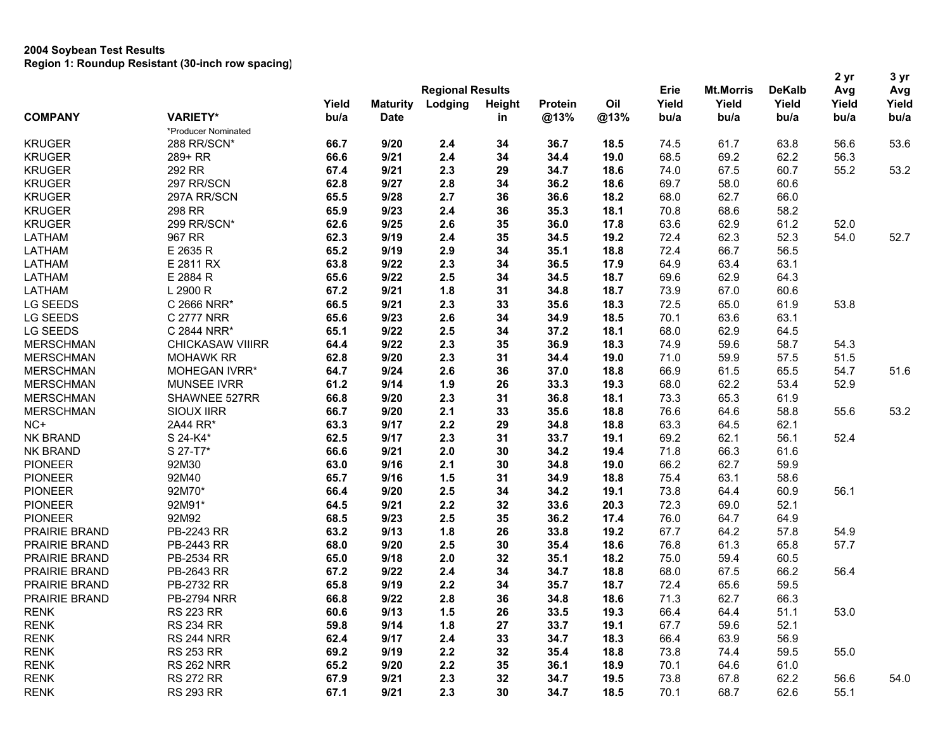| <b>Regional Results</b><br>Erie<br><b>Mt.Morris</b><br><b>DeKalb</b><br>Avg<br>Avg<br>Oil<br>Yield<br>Yield<br>Yield<br>Yield<br>Yield<br>Yield<br><b>Maturity</b><br>Lodging<br>Height<br>Protein<br><b>VARIETY*</b><br><b>COMPANY</b><br>bu/a<br>@13%<br><b>Date</b><br>@13%<br>bu/a<br>bu/a<br>bu/a<br>bu/a<br>bu/a<br>in<br>*Producer Nominated<br><b>KRUGER</b><br>66.7<br>9/20<br>36.7<br>61.7<br>63.8<br>56.6<br>53.6<br>288 RR/SCN*<br>2.4<br>34<br>18.5<br>74.5<br>69.2<br>66.6<br>9/21<br>2.4<br>34<br>34.4<br>19.0<br>68.5<br>62.2<br>56.3<br><b>KRUGER</b><br>289+ RR<br>292 RR<br>53.2<br>67.4<br>9/21<br>2.3<br>29<br>34.7<br>18.6<br>74.0<br>67.5<br>60.7<br>55.2<br>297 RR/SCN<br>62.8<br>9/27<br>2.8<br>34<br>36.2<br>69.7<br>58.0<br>60.6<br>18.6<br>297A RR/SCN<br>65.5<br>9/28<br>2.7<br>36<br>36.6<br>18.2<br>68.0<br>62.7<br>66.0<br>298 RR<br>65.9<br>9/23<br>2.4<br>35.3<br>18.1<br>68.6<br>58.2<br>36<br>70.8<br>299 RR/SCN*<br>62.6<br>9/25<br>2.6<br>63.6<br>62.9<br>61.2<br>52.0<br>35<br>36.0<br>17.8<br>967 RR<br>62.3<br>9/19<br>2.4<br>35<br>19.2<br>72.4<br>62.3<br>52.3<br>54.0<br>52.7<br>34.5<br>66.7<br>E 2635 R<br>65.2<br>9/19<br>2.9<br>34<br>35.1<br>18.8<br>72.4<br>56.5<br>E 2811 RX<br>63.8<br>9/22<br>2.3<br>34<br>36.5<br>17.9<br>64.9<br>63.4<br>63.1<br>2.5<br>E 2884 R<br>9/22<br>34<br>34.5<br>18.7<br>69.6<br>62.9<br>64.3<br>65.6<br>1.8<br>L 2900 R<br>67.2<br>9/21<br>31<br>34.8<br>18.7<br>73.9<br>67.0<br>60.6<br>53.8<br>C 2666 NRR*<br>66.5<br>9/21<br>2.3<br>33<br>35.6<br>18.3<br>72.5<br>65.0<br>61.9<br>C 2777 NRR<br>65.6<br>9/23<br>2.6<br>34<br>34.9<br>18.5<br>70.1<br>63.6<br>63.1<br>9/22<br>2.5<br>34<br>68.0<br>62.9<br>64.5<br>C 2844 NRR*<br>65.1<br>37.2<br>18.1<br>59.6<br>64.4<br>9/22<br>2.3<br>35<br>36.9<br>18.3<br>74.9<br>58.7<br>54.3<br><b>CHICKASAW VIIIRR</b><br>2.3<br>51.5<br><b>MERSCHMAN</b><br><b>MOHAWK RR</b><br>62.8<br>9/20<br>31<br>34.4<br>19.0<br>71.0<br>59.9<br>57.5<br>61.5<br>51.6<br>MOHEGAN IVRR*<br>64.7<br>9/24<br>2.6<br>36<br>37.0<br>18.8<br>66.9<br>65.5<br>54.7<br><b>MUNSEE IVRR</b><br>61.2<br>9/14<br>1.9<br>26<br>33.3<br>68.0<br>62.2<br>53.4<br>52.9<br>19.3<br>2.3<br>73.3<br>65.3<br>SHAWNEE 527RR<br>66.8<br>9/20<br>31<br>36.8<br>18.1<br>61.9<br>53.2<br>66.7<br>9/20<br>2.1<br>33<br>18.8<br>76.6<br>64.6<br>58.8<br>55.6<br><b>SIOUX IIRR</b><br>35.6<br>9/17<br>2.2<br>29<br>63.3<br>64.5<br>62.1<br>2A44 RR*<br>63.3<br>34.8<br>18.8<br><b>NK BRAND</b><br>S 24-K4*<br>62.5<br>9/17<br>2.3<br>31<br>33.7<br>19.1<br>69.2<br>62.1<br>56.1<br>52.4<br>2.0<br>66.3<br><b>NK BRAND</b><br>S 27-T7*<br>66.6<br>9/21<br>30<br>34.2<br>19.4<br>71.8<br>61.6<br>92M30<br>2.1<br>62.7<br><b>PIONEER</b><br>63.0<br>9/16<br>30<br>34.8<br>19.0<br>66.2<br>59.9<br><b>PIONEER</b><br>92M40<br>63.1<br>65.7<br>9/16<br>1.5<br>31<br>34.9<br>18.8<br>75.4<br>58.6<br>92M70*<br>56.1<br><b>PIONEER</b><br>9/20<br>2.5<br>34<br>73.8<br>64.4<br>60.9<br>66.4<br>34.2<br>19.1<br><b>PIONEER</b><br>92M91*<br>64.5<br>9/21<br>2.2<br>32<br>33.6<br>20.3<br>72.3<br>69.0<br>52.1<br><b>PIONEER</b><br>92M92<br>9/23<br>2.5<br>35<br>36.2<br>17.4<br>76.0<br>64.7<br>68.5<br>64.9<br>54.9<br>PRAIRIE BRAND<br>PB-2243 RR<br>63.2<br>9/13<br>1.8<br>26<br>33.8<br>19.2<br>67.7<br>64.2<br>57.8<br>61.3<br>57.7<br>PRAIRIE BRAND<br>PB-2443 RR<br>68.0<br>9/20<br>2.5<br>30<br>35.4<br>18.6<br>76.8<br>65.8<br>PRAIRIE BRAND<br>PB-2534 RR<br>9/18<br>2.0<br>32<br>35.1<br>18.2<br>75.0<br>59.4<br>60.5<br>65.0<br>66.2<br>56.4<br>PRAIRIE BRAND<br>PB-2643 RR<br>67.2<br>9/22<br>2.4<br>34<br>34.7<br>68.0<br>67.5<br>18.8<br>PRAIRIE BRAND<br>PB-2732 RR<br>9/19<br>2.2<br>35.7<br>72.4<br>65.6<br>59.5<br>65.8<br>34<br>18.7<br>2.8<br>71.3<br>62.7<br>66.3<br>PRAIRIE BRAND<br><b>PB-2794 NRR</b><br>66.8<br>9/22<br>36<br>34.8<br>18.6<br>RENK<br><b>RS 223 RR</b><br>60.6<br>9/13<br>1.5<br>26<br>33.5<br>19.3<br>66.4<br>64.4<br>51.1<br>53.0<br><b>RENK</b><br>59.8<br>67.7<br>52.1<br><b>RS 234 RR</b><br>9/14<br>1.8<br>27<br>33.7<br>19.1<br>59.6<br><b>RENK</b><br>62.4<br>33<br>34.7<br>66.4<br>63.9<br>56.9<br><b>RS 244 NRR</b><br>9/17<br>2.4<br>18.3<br><b>RENK</b><br><b>RS 253 RR</b><br>69.2<br>2.2<br>73.8<br>59.5<br>55.0<br>9/19<br>32<br>35.4<br>18.8<br>74.4<br><b>RENK</b><br><b>RS 262 NRR</b><br>65.2<br>9/20<br>2.2<br>35<br>36.1<br>18.9<br>70.1<br>64.6<br>61.0<br>67.9<br>54.0<br><b>RENK</b><br><b>RS 272 RR</b><br>9/21<br>2.3<br>32<br>34.7<br>19.5<br>73.8<br>67.8<br>62.2<br>56.6 |                  |                  |      |      |     |    |      |      |      |      |      | 2 yr | 3 yr |
|-------------------------------------------------------------------------------------------------------------------------------------------------------------------------------------------------------------------------------------------------------------------------------------------------------------------------------------------------------------------------------------------------------------------------------------------------------------------------------------------------------------------------------------------------------------------------------------------------------------------------------------------------------------------------------------------------------------------------------------------------------------------------------------------------------------------------------------------------------------------------------------------------------------------------------------------------------------------------------------------------------------------------------------------------------------------------------------------------------------------------------------------------------------------------------------------------------------------------------------------------------------------------------------------------------------------------------------------------------------------------------------------------------------------------------------------------------------------------------------------------------------------------------------------------------------------------------------------------------------------------------------------------------------------------------------------------------------------------------------------------------------------------------------------------------------------------------------------------------------------------------------------------------------------------------------------------------------------------------------------------------------------------------------------------------------------------------------------------------------------------------------------------------------------------------------------------------------------------------------------------------------------------------------------------------------------------------------------------------------------------------------------------------------------------------------------------------------------------------------------------------------------------------------------------------------------------------------------------------------------------------------------------------------------------------------------------------------------------------------------------------------------------------------------------------------------------------------------------------------------------------------------------------------------------------------------------------------------------------------------------------------------------------------------------------------------------------------------------------------------------------------------------------------------------------------------------------------------------------------------------------------------------------------------------------------------------------------------------------------------------------------------------------------------------------------------------------------------------------------------------------------------------------------------------------------------------------------------------------------------------------------------------------------------------------------------------------------------------------------------------------------------------------------------------------------------------------------------------------------------------------------------------------------------------------------------------------------------------------------------------------------------------------------------------------------------------------------------------------------------------------------------------------------------------------------------------------------------------------------------------------------------------------------------------------------------------------------------------------------------------------------------------------------------------------------------------------------------------------------------------------------------------------|------------------|------------------|------|------|-----|----|------|------|------|------|------|------|------|
|                                                                                                                                                                                                                                                                                                                                                                                                                                                                                                                                                                                                                                                                                                                                                                                                                                                                                                                                                                                                                                                                                                                                                                                                                                                                                                                                                                                                                                                                                                                                                                                                                                                                                                                                                                                                                                                                                                                                                                                                                                                                                                                                                                                                                                                                                                                                                                                                                                                                                                                                                                                                                                                                                                                                                                                                                                                                                                                                                                                                                                                                                                                                                                                                                                                                                                                                                                                                                                                                                                                                                                                                                                                                                                                                                                                                                                                                                                                                                                                                                                                                                                                                                                                                                                                                                                                                                                                                                                                                                                                               |                  |                  |      |      |     |    |      |      |      |      |      |      |      |
|                                                                                                                                                                                                                                                                                                                                                                                                                                                                                                                                                                                                                                                                                                                                                                                                                                                                                                                                                                                                                                                                                                                                                                                                                                                                                                                                                                                                                                                                                                                                                                                                                                                                                                                                                                                                                                                                                                                                                                                                                                                                                                                                                                                                                                                                                                                                                                                                                                                                                                                                                                                                                                                                                                                                                                                                                                                                                                                                                                                                                                                                                                                                                                                                                                                                                                                                                                                                                                                                                                                                                                                                                                                                                                                                                                                                                                                                                                                                                                                                                                                                                                                                                                                                                                                                                                                                                                                                                                                                                                                               |                  |                  |      |      |     |    |      |      |      |      |      |      |      |
|                                                                                                                                                                                                                                                                                                                                                                                                                                                                                                                                                                                                                                                                                                                                                                                                                                                                                                                                                                                                                                                                                                                                                                                                                                                                                                                                                                                                                                                                                                                                                                                                                                                                                                                                                                                                                                                                                                                                                                                                                                                                                                                                                                                                                                                                                                                                                                                                                                                                                                                                                                                                                                                                                                                                                                                                                                                                                                                                                                                                                                                                                                                                                                                                                                                                                                                                                                                                                                                                                                                                                                                                                                                                                                                                                                                                                                                                                                                                                                                                                                                                                                                                                                                                                                                                                                                                                                                                                                                                                                                               |                  |                  |      |      |     |    |      |      |      |      |      |      |      |
|                                                                                                                                                                                                                                                                                                                                                                                                                                                                                                                                                                                                                                                                                                                                                                                                                                                                                                                                                                                                                                                                                                                                                                                                                                                                                                                                                                                                                                                                                                                                                                                                                                                                                                                                                                                                                                                                                                                                                                                                                                                                                                                                                                                                                                                                                                                                                                                                                                                                                                                                                                                                                                                                                                                                                                                                                                                                                                                                                                                                                                                                                                                                                                                                                                                                                                                                                                                                                                                                                                                                                                                                                                                                                                                                                                                                                                                                                                                                                                                                                                                                                                                                                                                                                                                                                                                                                                                                                                                                                                                               |                  |                  |      |      |     |    |      |      |      |      |      |      |      |
|                                                                                                                                                                                                                                                                                                                                                                                                                                                                                                                                                                                                                                                                                                                                                                                                                                                                                                                                                                                                                                                                                                                                                                                                                                                                                                                                                                                                                                                                                                                                                                                                                                                                                                                                                                                                                                                                                                                                                                                                                                                                                                                                                                                                                                                                                                                                                                                                                                                                                                                                                                                                                                                                                                                                                                                                                                                                                                                                                                                                                                                                                                                                                                                                                                                                                                                                                                                                                                                                                                                                                                                                                                                                                                                                                                                                                                                                                                                                                                                                                                                                                                                                                                                                                                                                                                                                                                                                                                                                                                                               |                  |                  |      |      |     |    |      |      |      |      |      |      |      |
|                                                                                                                                                                                                                                                                                                                                                                                                                                                                                                                                                                                                                                                                                                                                                                                                                                                                                                                                                                                                                                                                                                                                                                                                                                                                                                                                                                                                                                                                                                                                                                                                                                                                                                                                                                                                                                                                                                                                                                                                                                                                                                                                                                                                                                                                                                                                                                                                                                                                                                                                                                                                                                                                                                                                                                                                                                                                                                                                                                                                                                                                                                                                                                                                                                                                                                                                                                                                                                                                                                                                                                                                                                                                                                                                                                                                                                                                                                                                                                                                                                                                                                                                                                                                                                                                                                                                                                                                                                                                                                                               |                  |                  |      |      |     |    |      |      |      |      |      |      |      |
|                                                                                                                                                                                                                                                                                                                                                                                                                                                                                                                                                                                                                                                                                                                                                                                                                                                                                                                                                                                                                                                                                                                                                                                                                                                                                                                                                                                                                                                                                                                                                                                                                                                                                                                                                                                                                                                                                                                                                                                                                                                                                                                                                                                                                                                                                                                                                                                                                                                                                                                                                                                                                                                                                                                                                                                                                                                                                                                                                                                                                                                                                                                                                                                                                                                                                                                                                                                                                                                                                                                                                                                                                                                                                                                                                                                                                                                                                                                                                                                                                                                                                                                                                                                                                                                                                                                                                                                                                                                                                                                               | <b>KRUGER</b>    |                  |      |      |     |    |      |      |      |      |      |      |      |
|                                                                                                                                                                                                                                                                                                                                                                                                                                                                                                                                                                                                                                                                                                                                                                                                                                                                                                                                                                                                                                                                                                                                                                                                                                                                                                                                                                                                                                                                                                                                                                                                                                                                                                                                                                                                                                                                                                                                                                                                                                                                                                                                                                                                                                                                                                                                                                                                                                                                                                                                                                                                                                                                                                                                                                                                                                                                                                                                                                                                                                                                                                                                                                                                                                                                                                                                                                                                                                                                                                                                                                                                                                                                                                                                                                                                                                                                                                                                                                                                                                                                                                                                                                                                                                                                                                                                                                                                                                                                                                                               | <b>KRUGER</b>    |                  |      |      |     |    |      |      |      |      |      |      |      |
|                                                                                                                                                                                                                                                                                                                                                                                                                                                                                                                                                                                                                                                                                                                                                                                                                                                                                                                                                                                                                                                                                                                                                                                                                                                                                                                                                                                                                                                                                                                                                                                                                                                                                                                                                                                                                                                                                                                                                                                                                                                                                                                                                                                                                                                                                                                                                                                                                                                                                                                                                                                                                                                                                                                                                                                                                                                                                                                                                                                                                                                                                                                                                                                                                                                                                                                                                                                                                                                                                                                                                                                                                                                                                                                                                                                                                                                                                                                                                                                                                                                                                                                                                                                                                                                                                                                                                                                                                                                                                                                               | <b>KRUGER</b>    |                  |      |      |     |    |      |      |      |      |      |      |      |
|                                                                                                                                                                                                                                                                                                                                                                                                                                                                                                                                                                                                                                                                                                                                                                                                                                                                                                                                                                                                                                                                                                                                                                                                                                                                                                                                                                                                                                                                                                                                                                                                                                                                                                                                                                                                                                                                                                                                                                                                                                                                                                                                                                                                                                                                                                                                                                                                                                                                                                                                                                                                                                                                                                                                                                                                                                                                                                                                                                                                                                                                                                                                                                                                                                                                                                                                                                                                                                                                                                                                                                                                                                                                                                                                                                                                                                                                                                                                                                                                                                                                                                                                                                                                                                                                                                                                                                                                                                                                                                                               | <b>KRUGER</b>    |                  |      |      |     |    |      |      |      |      |      |      |      |
|                                                                                                                                                                                                                                                                                                                                                                                                                                                                                                                                                                                                                                                                                                                                                                                                                                                                                                                                                                                                                                                                                                                                                                                                                                                                                                                                                                                                                                                                                                                                                                                                                                                                                                                                                                                                                                                                                                                                                                                                                                                                                                                                                                                                                                                                                                                                                                                                                                                                                                                                                                                                                                                                                                                                                                                                                                                                                                                                                                                                                                                                                                                                                                                                                                                                                                                                                                                                                                                                                                                                                                                                                                                                                                                                                                                                                                                                                                                                                                                                                                                                                                                                                                                                                                                                                                                                                                                                                                                                                                                               | <b>KRUGER</b>    |                  |      |      |     |    |      |      |      |      |      |      |      |
|                                                                                                                                                                                                                                                                                                                                                                                                                                                                                                                                                                                                                                                                                                                                                                                                                                                                                                                                                                                                                                                                                                                                                                                                                                                                                                                                                                                                                                                                                                                                                                                                                                                                                                                                                                                                                                                                                                                                                                                                                                                                                                                                                                                                                                                                                                                                                                                                                                                                                                                                                                                                                                                                                                                                                                                                                                                                                                                                                                                                                                                                                                                                                                                                                                                                                                                                                                                                                                                                                                                                                                                                                                                                                                                                                                                                                                                                                                                                                                                                                                                                                                                                                                                                                                                                                                                                                                                                                                                                                                                               | LATHAM           |                  |      |      |     |    |      |      |      |      |      |      |      |
|                                                                                                                                                                                                                                                                                                                                                                                                                                                                                                                                                                                                                                                                                                                                                                                                                                                                                                                                                                                                                                                                                                                                                                                                                                                                                                                                                                                                                                                                                                                                                                                                                                                                                                                                                                                                                                                                                                                                                                                                                                                                                                                                                                                                                                                                                                                                                                                                                                                                                                                                                                                                                                                                                                                                                                                                                                                                                                                                                                                                                                                                                                                                                                                                                                                                                                                                                                                                                                                                                                                                                                                                                                                                                                                                                                                                                                                                                                                                                                                                                                                                                                                                                                                                                                                                                                                                                                                                                                                                                                                               | LATHAM           |                  |      |      |     |    |      |      |      |      |      |      |      |
|                                                                                                                                                                                                                                                                                                                                                                                                                                                                                                                                                                                                                                                                                                                                                                                                                                                                                                                                                                                                                                                                                                                                                                                                                                                                                                                                                                                                                                                                                                                                                                                                                                                                                                                                                                                                                                                                                                                                                                                                                                                                                                                                                                                                                                                                                                                                                                                                                                                                                                                                                                                                                                                                                                                                                                                                                                                                                                                                                                                                                                                                                                                                                                                                                                                                                                                                                                                                                                                                                                                                                                                                                                                                                                                                                                                                                                                                                                                                                                                                                                                                                                                                                                                                                                                                                                                                                                                                                                                                                                                               | LATHAM           |                  |      |      |     |    |      |      |      |      |      |      |      |
|                                                                                                                                                                                                                                                                                                                                                                                                                                                                                                                                                                                                                                                                                                                                                                                                                                                                                                                                                                                                                                                                                                                                                                                                                                                                                                                                                                                                                                                                                                                                                                                                                                                                                                                                                                                                                                                                                                                                                                                                                                                                                                                                                                                                                                                                                                                                                                                                                                                                                                                                                                                                                                                                                                                                                                                                                                                                                                                                                                                                                                                                                                                                                                                                                                                                                                                                                                                                                                                                                                                                                                                                                                                                                                                                                                                                                                                                                                                                                                                                                                                                                                                                                                                                                                                                                                                                                                                                                                                                                                                               | LATHAM           |                  |      |      |     |    |      |      |      |      |      |      |      |
|                                                                                                                                                                                                                                                                                                                                                                                                                                                                                                                                                                                                                                                                                                                                                                                                                                                                                                                                                                                                                                                                                                                                                                                                                                                                                                                                                                                                                                                                                                                                                                                                                                                                                                                                                                                                                                                                                                                                                                                                                                                                                                                                                                                                                                                                                                                                                                                                                                                                                                                                                                                                                                                                                                                                                                                                                                                                                                                                                                                                                                                                                                                                                                                                                                                                                                                                                                                                                                                                                                                                                                                                                                                                                                                                                                                                                                                                                                                                                                                                                                                                                                                                                                                                                                                                                                                                                                                                                                                                                                                               | LATHAM           |                  |      |      |     |    |      |      |      |      |      |      |      |
|                                                                                                                                                                                                                                                                                                                                                                                                                                                                                                                                                                                                                                                                                                                                                                                                                                                                                                                                                                                                                                                                                                                                                                                                                                                                                                                                                                                                                                                                                                                                                                                                                                                                                                                                                                                                                                                                                                                                                                                                                                                                                                                                                                                                                                                                                                                                                                                                                                                                                                                                                                                                                                                                                                                                                                                                                                                                                                                                                                                                                                                                                                                                                                                                                                                                                                                                                                                                                                                                                                                                                                                                                                                                                                                                                                                                                                                                                                                                                                                                                                                                                                                                                                                                                                                                                                                                                                                                                                                                                                                               | <b>LG SEEDS</b>  |                  |      |      |     |    |      |      |      |      |      |      |      |
|                                                                                                                                                                                                                                                                                                                                                                                                                                                                                                                                                                                                                                                                                                                                                                                                                                                                                                                                                                                                                                                                                                                                                                                                                                                                                                                                                                                                                                                                                                                                                                                                                                                                                                                                                                                                                                                                                                                                                                                                                                                                                                                                                                                                                                                                                                                                                                                                                                                                                                                                                                                                                                                                                                                                                                                                                                                                                                                                                                                                                                                                                                                                                                                                                                                                                                                                                                                                                                                                                                                                                                                                                                                                                                                                                                                                                                                                                                                                                                                                                                                                                                                                                                                                                                                                                                                                                                                                                                                                                                                               | <b>LG SEEDS</b>  |                  |      |      |     |    |      |      |      |      |      |      |      |
|                                                                                                                                                                                                                                                                                                                                                                                                                                                                                                                                                                                                                                                                                                                                                                                                                                                                                                                                                                                                                                                                                                                                                                                                                                                                                                                                                                                                                                                                                                                                                                                                                                                                                                                                                                                                                                                                                                                                                                                                                                                                                                                                                                                                                                                                                                                                                                                                                                                                                                                                                                                                                                                                                                                                                                                                                                                                                                                                                                                                                                                                                                                                                                                                                                                                                                                                                                                                                                                                                                                                                                                                                                                                                                                                                                                                                                                                                                                                                                                                                                                                                                                                                                                                                                                                                                                                                                                                                                                                                                                               | <b>LG SEEDS</b>  |                  |      |      |     |    |      |      |      |      |      |      |      |
|                                                                                                                                                                                                                                                                                                                                                                                                                                                                                                                                                                                                                                                                                                                                                                                                                                                                                                                                                                                                                                                                                                                                                                                                                                                                                                                                                                                                                                                                                                                                                                                                                                                                                                                                                                                                                                                                                                                                                                                                                                                                                                                                                                                                                                                                                                                                                                                                                                                                                                                                                                                                                                                                                                                                                                                                                                                                                                                                                                                                                                                                                                                                                                                                                                                                                                                                                                                                                                                                                                                                                                                                                                                                                                                                                                                                                                                                                                                                                                                                                                                                                                                                                                                                                                                                                                                                                                                                                                                                                                                               | <b>MERSCHMAN</b> |                  |      |      |     |    |      |      |      |      |      |      |      |
|                                                                                                                                                                                                                                                                                                                                                                                                                                                                                                                                                                                                                                                                                                                                                                                                                                                                                                                                                                                                                                                                                                                                                                                                                                                                                                                                                                                                                                                                                                                                                                                                                                                                                                                                                                                                                                                                                                                                                                                                                                                                                                                                                                                                                                                                                                                                                                                                                                                                                                                                                                                                                                                                                                                                                                                                                                                                                                                                                                                                                                                                                                                                                                                                                                                                                                                                                                                                                                                                                                                                                                                                                                                                                                                                                                                                                                                                                                                                                                                                                                                                                                                                                                                                                                                                                                                                                                                                                                                                                                                               |                  |                  |      |      |     |    |      |      |      |      |      |      |      |
|                                                                                                                                                                                                                                                                                                                                                                                                                                                                                                                                                                                                                                                                                                                                                                                                                                                                                                                                                                                                                                                                                                                                                                                                                                                                                                                                                                                                                                                                                                                                                                                                                                                                                                                                                                                                                                                                                                                                                                                                                                                                                                                                                                                                                                                                                                                                                                                                                                                                                                                                                                                                                                                                                                                                                                                                                                                                                                                                                                                                                                                                                                                                                                                                                                                                                                                                                                                                                                                                                                                                                                                                                                                                                                                                                                                                                                                                                                                                                                                                                                                                                                                                                                                                                                                                                                                                                                                                                                                                                                                               | <b>MERSCHMAN</b> |                  |      |      |     |    |      |      |      |      |      |      |      |
|                                                                                                                                                                                                                                                                                                                                                                                                                                                                                                                                                                                                                                                                                                                                                                                                                                                                                                                                                                                                                                                                                                                                                                                                                                                                                                                                                                                                                                                                                                                                                                                                                                                                                                                                                                                                                                                                                                                                                                                                                                                                                                                                                                                                                                                                                                                                                                                                                                                                                                                                                                                                                                                                                                                                                                                                                                                                                                                                                                                                                                                                                                                                                                                                                                                                                                                                                                                                                                                                                                                                                                                                                                                                                                                                                                                                                                                                                                                                                                                                                                                                                                                                                                                                                                                                                                                                                                                                                                                                                                                               | <b>MERSCHMAN</b> |                  |      |      |     |    |      |      |      |      |      |      |      |
|                                                                                                                                                                                                                                                                                                                                                                                                                                                                                                                                                                                                                                                                                                                                                                                                                                                                                                                                                                                                                                                                                                                                                                                                                                                                                                                                                                                                                                                                                                                                                                                                                                                                                                                                                                                                                                                                                                                                                                                                                                                                                                                                                                                                                                                                                                                                                                                                                                                                                                                                                                                                                                                                                                                                                                                                                                                                                                                                                                                                                                                                                                                                                                                                                                                                                                                                                                                                                                                                                                                                                                                                                                                                                                                                                                                                                                                                                                                                                                                                                                                                                                                                                                                                                                                                                                                                                                                                                                                                                                                               | <b>MERSCHMAN</b> |                  |      |      |     |    |      |      |      |      |      |      |      |
|                                                                                                                                                                                                                                                                                                                                                                                                                                                                                                                                                                                                                                                                                                                                                                                                                                                                                                                                                                                                                                                                                                                                                                                                                                                                                                                                                                                                                                                                                                                                                                                                                                                                                                                                                                                                                                                                                                                                                                                                                                                                                                                                                                                                                                                                                                                                                                                                                                                                                                                                                                                                                                                                                                                                                                                                                                                                                                                                                                                                                                                                                                                                                                                                                                                                                                                                                                                                                                                                                                                                                                                                                                                                                                                                                                                                                                                                                                                                                                                                                                                                                                                                                                                                                                                                                                                                                                                                                                                                                                                               | <b>MERSCHMAN</b> |                  |      |      |     |    |      |      |      |      |      |      |      |
|                                                                                                                                                                                                                                                                                                                                                                                                                                                                                                                                                                                                                                                                                                                                                                                                                                                                                                                                                                                                                                                                                                                                                                                                                                                                                                                                                                                                                                                                                                                                                                                                                                                                                                                                                                                                                                                                                                                                                                                                                                                                                                                                                                                                                                                                                                                                                                                                                                                                                                                                                                                                                                                                                                                                                                                                                                                                                                                                                                                                                                                                                                                                                                                                                                                                                                                                                                                                                                                                                                                                                                                                                                                                                                                                                                                                                                                                                                                                                                                                                                                                                                                                                                                                                                                                                                                                                                                                                                                                                                                               | NC+              |                  |      |      |     |    |      |      |      |      |      |      |      |
|                                                                                                                                                                                                                                                                                                                                                                                                                                                                                                                                                                                                                                                                                                                                                                                                                                                                                                                                                                                                                                                                                                                                                                                                                                                                                                                                                                                                                                                                                                                                                                                                                                                                                                                                                                                                                                                                                                                                                                                                                                                                                                                                                                                                                                                                                                                                                                                                                                                                                                                                                                                                                                                                                                                                                                                                                                                                                                                                                                                                                                                                                                                                                                                                                                                                                                                                                                                                                                                                                                                                                                                                                                                                                                                                                                                                                                                                                                                                                                                                                                                                                                                                                                                                                                                                                                                                                                                                                                                                                                                               |                  |                  |      |      |     |    |      |      |      |      |      |      |      |
|                                                                                                                                                                                                                                                                                                                                                                                                                                                                                                                                                                                                                                                                                                                                                                                                                                                                                                                                                                                                                                                                                                                                                                                                                                                                                                                                                                                                                                                                                                                                                                                                                                                                                                                                                                                                                                                                                                                                                                                                                                                                                                                                                                                                                                                                                                                                                                                                                                                                                                                                                                                                                                                                                                                                                                                                                                                                                                                                                                                                                                                                                                                                                                                                                                                                                                                                                                                                                                                                                                                                                                                                                                                                                                                                                                                                                                                                                                                                                                                                                                                                                                                                                                                                                                                                                                                                                                                                                                                                                                                               |                  |                  |      |      |     |    |      |      |      |      |      |      |      |
|                                                                                                                                                                                                                                                                                                                                                                                                                                                                                                                                                                                                                                                                                                                                                                                                                                                                                                                                                                                                                                                                                                                                                                                                                                                                                                                                                                                                                                                                                                                                                                                                                                                                                                                                                                                                                                                                                                                                                                                                                                                                                                                                                                                                                                                                                                                                                                                                                                                                                                                                                                                                                                                                                                                                                                                                                                                                                                                                                                                                                                                                                                                                                                                                                                                                                                                                                                                                                                                                                                                                                                                                                                                                                                                                                                                                                                                                                                                                                                                                                                                                                                                                                                                                                                                                                                                                                                                                                                                                                                                               |                  |                  |      |      |     |    |      |      |      |      |      |      |      |
|                                                                                                                                                                                                                                                                                                                                                                                                                                                                                                                                                                                                                                                                                                                                                                                                                                                                                                                                                                                                                                                                                                                                                                                                                                                                                                                                                                                                                                                                                                                                                                                                                                                                                                                                                                                                                                                                                                                                                                                                                                                                                                                                                                                                                                                                                                                                                                                                                                                                                                                                                                                                                                                                                                                                                                                                                                                                                                                                                                                                                                                                                                                                                                                                                                                                                                                                                                                                                                                                                                                                                                                                                                                                                                                                                                                                                                                                                                                                                                                                                                                                                                                                                                                                                                                                                                                                                                                                                                                                                                                               |                  |                  |      |      |     |    |      |      |      |      |      |      |      |
|                                                                                                                                                                                                                                                                                                                                                                                                                                                                                                                                                                                                                                                                                                                                                                                                                                                                                                                                                                                                                                                                                                                                                                                                                                                                                                                                                                                                                                                                                                                                                                                                                                                                                                                                                                                                                                                                                                                                                                                                                                                                                                                                                                                                                                                                                                                                                                                                                                                                                                                                                                                                                                                                                                                                                                                                                                                                                                                                                                                                                                                                                                                                                                                                                                                                                                                                                                                                                                                                                                                                                                                                                                                                                                                                                                                                                                                                                                                                                                                                                                                                                                                                                                                                                                                                                                                                                                                                                                                                                                                               |                  |                  |      |      |     |    |      |      |      |      |      |      |      |
|                                                                                                                                                                                                                                                                                                                                                                                                                                                                                                                                                                                                                                                                                                                                                                                                                                                                                                                                                                                                                                                                                                                                                                                                                                                                                                                                                                                                                                                                                                                                                                                                                                                                                                                                                                                                                                                                                                                                                                                                                                                                                                                                                                                                                                                                                                                                                                                                                                                                                                                                                                                                                                                                                                                                                                                                                                                                                                                                                                                                                                                                                                                                                                                                                                                                                                                                                                                                                                                                                                                                                                                                                                                                                                                                                                                                                                                                                                                                                                                                                                                                                                                                                                                                                                                                                                                                                                                                                                                                                                                               |                  |                  |      |      |     |    |      |      |      |      |      |      |      |
|                                                                                                                                                                                                                                                                                                                                                                                                                                                                                                                                                                                                                                                                                                                                                                                                                                                                                                                                                                                                                                                                                                                                                                                                                                                                                                                                                                                                                                                                                                                                                                                                                                                                                                                                                                                                                                                                                                                                                                                                                                                                                                                                                                                                                                                                                                                                                                                                                                                                                                                                                                                                                                                                                                                                                                                                                                                                                                                                                                                                                                                                                                                                                                                                                                                                                                                                                                                                                                                                                                                                                                                                                                                                                                                                                                                                                                                                                                                                                                                                                                                                                                                                                                                                                                                                                                                                                                                                                                                                                                                               |                  |                  |      |      |     |    |      |      |      |      |      |      |      |
|                                                                                                                                                                                                                                                                                                                                                                                                                                                                                                                                                                                                                                                                                                                                                                                                                                                                                                                                                                                                                                                                                                                                                                                                                                                                                                                                                                                                                                                                                                                                                                                                                                                                                                                                                                                                                                                                                                                                                                                                                                                                                                                                                                                                                                                                                                                                                                                                                                                                                                                                                                                                                                                                                                                                                                                                                                                                                                                                                                                                                                                                                                                                                                                                                                                                                                                                                                                                                                                                                                                                                                                                                                                                                                                                                                                                                                                                                                                                                                                                                                                                                                                                                                                                                                                                                                                                                                                                                                                                                                                               |                  |                  |      |      |     |    |      |      |      |      |      |      |      |
|                                                                                                                                                                                                                                                                                                                                                                                                                                                                                                                                                                                                                                                                                                                                                                                                                                                                                                                                                                                                                                                                                                                                                                                                                                                                                                                                                                                                                                                                                                                                                                                                                                                                                                                                                                                                                                                                                                                                                                                                                                                                                                                                                                                                                                                                                                                                                                                                                                                                                                                                                                                                                                                                                                                                                                                                                                                                                                                                                                                                                                                                                                                                                                                                                                                                                                                                                                                                                                                                                                                                                                                                                                                                                                                                                                                                                                                                                                                                                                                                                                                                                                                                                                                                                                                                                                                                                                                                                                                                                                                               |                  |                  |      |      |     |    |      |      |      |      |      |      |      |
|                                                                                                                                                                                                                                                                                                                                                                                                                                                                                                                                                                                                                                                                                                                                                                                                                                                                                                                                                                                                                                                                                                                                                                                                                                                                                                                                                                                                                                                                                                                                                                                                                                                                                                                                                                                                                                                                                                                                                                                                                                                                                                                                                                                                                                                                                                                                                                                                                                                                                                                                                                                                                                                                                                                                                                                                                                                                                                                                                                                                                                                                                                                                                                                                                                                                                                                                                                                                                                                                                                                                                                                                                                                                                                                                                                                                                                                                                                                                                                                                                                                                                                                                                                                                                                                                                                                                                                                                                                                                                                                               |                  |                  |      |      |     |    |      |      |      |      |      |      |      |
|                                                                                                                                                                                                                                                                                                                                                                                                                                                                                                                                                                                                                                                                                                                                                                                                                                                                                                                                                                                                                                                                                                                                                                                                                                                                                                                                                                                                                                                                                                                                                                                                                                                                                                                                                                                                                                                                                                                                                                                                                                                                                                                                                                                                                                                                                                                                                                                                                                                                                                                                                                                                                                                                                                                                                                                                                                                                                                                                                                                                                                                                                                                                                                                                                                                                                                                                                                                                                                                                                                                                                                                                                                                                                                                                                                                                                                                                                                                                                                                                                                                                                                                                                                                                                                                                                                                                                                                                                                                                                                                               |                  |                  |      |      |     |    |      |      |      |      |      |      |      |
|                                                                                                                                                                                                                                                                                                                                                                                                                                                                                                                                                                                                                                                                                                                                                                                                                                                                                                                                                                                                                                                                                                                                                                                                                                                                                                                                                                                                                                                                                                                                                                                                                                                                                                                                                                                                                                                                                                                                                                                                                                                                                                                                                                                                                                                                                                                                                                                                                                                                                                                                                                                                                                                                                                                                                                                                                                                                                                                                                                                                                                                                                                                                                                                                                                                                                                                                                                                                                                                                                                                                                                                                                                                                                                                                                                                                                                                                                                                                                                                                                                                                                                                                                                                                                                                                                                                                                                                                                                                                                                                               |                  |                  |      |      |     |    |      |      |      |      |      |      |      |
|                                                                                                                                                                                                                                                                                                                                                                                                                                                                                                                                                                                                                                                                                                                                                                                                                                                                                                                                                                                                                                                                                                                                                                                                                                                                                                                                                                                                                                                                                                                                                                                                                                                                                                                                                                                                                                                                                                                                                                                                                                                                                                                                                                                                                                                                                                                                                                                                                                                                                                                                                                                                                                                                                                                                                                                                                                                                                                                                                                                                                                                                                                                                                                                                                                                                                                                                                                                                                                                                                                                                                                                                                                                                                                                                                                                                                                                                                                                                                                                                                                                                                                                                                                                                                                                                                                                                                                                                                                                                                                                               |                  |                  |      |      |     |    |      |      |      |      |      |      |      |
|                                                                                                                                                                                                                                                                                                                                                                                                                                                                                                                                                                                                                                                                                                                                                                                                                                                                                                                                                                                                                                                                                                                                                                                                                                                                                                                                                                                                                                                                                                                                                                                                                                                                                                                                                                                                                                                                                                                                                                                                                                                                                                                                                                                                                                                                                                                                                                                                                                                                                                                                                                                                                                                                                                                                                                                                                                                                                                                                                                                                                                                                                                                                                                                                                                                                                                                                                                                                                                                                                                                                                                                                                                                                                                                                                                                                                                                                                                                                                                                                                                                                                                                                                                                                                                                                                                                                                                                                                                                                                                                               |                  |                  |      |      |     |    |      |      |      |      |      |      |      |
|                                                                                                                                                                                                                                                                                                                                                                                                                                                                                                                                                                                                                                                                                                                                                                                                                                                                                                                                                                                                                                                                                                                                                                                                                                                                                                                                                                                                                                                                                                                                                                                                                                                                                                                                                                                                                                                                                                                                                                                                                                                                                                                                                                                                                                                                                                                                                                                                                                                                                                                                                                                                                                                                                                                                                                                                                                                                                                                                                                                                                                                                                                                                                                                                                                                                                                                                                                                                                                                                                                                                                                                                                                                                                                                                                                                                                                                                                                                                                                                                                                                                                                                                                                                                                                                                                                                                                                                                                                                                                                                               |                  |                  |      |      |     |    |      |      |      |      |      |      |      |
|                                                                                                                                                                                                                                                                                                                                                                                                                                                                                                                                                                                                                                                                                                                                                                                                                                                                                                                                                                                                                                                                                                                                                                                                                                                                                                                                                                                                                                                                                                                                                                                                                                                                                                                                                                                                                                                                                                                                                                                                                                                                                                                                                                                                                                                                                                                                                                                                                                                                                                                                                                                                                                                                                                                                                                                                                                                                                                                                                                                                                                                                                                                                                                                                                                                                                                                                                                                                                                                                                                                                                                                                                                                                                                                                                                                                                                                                                                                                                                                                                                                                                                                                                                                                                                                                                                                                                                                                                                                                                                                               |                  |                  |      |      |     |    |      |      |      |      |      |      |      |
|                                                                                                                                                                                                                                                                                                                                                                                                                                                                                                                                                                                                                                                                                                                                                                                                                                                                                                                                                                                                                                                                                                                                                                                                                                                                                                                                                                                                                                                                                                                                                                                                                                                                                                                                                                                                                                                                                                                                                                                                                                                                                                                                                                                                                                                                                                                                                                                                                                                                                                                                                                                                                                                                                                                                                                                                                                                                                                                                                                                                                                                                                                                                                                                                                                                                                                                                                                                                                                                                                                                                                                                                                                                                                                                                                                                                                                                                                                                                                                                                                                                                                                                                                                                                                                                                                                                                                                                                                                                                                                                               |                  |                  |      |      |     |    |      |      |      |      |      |      |      |
|                                                                                                                                                                                                                                                                                                                                                                                                                                                                                                                                                                                                                                                                                                                                                                                                                                                                                                                                                                                                                                                                                                                                                                                                                                                                                                                                                                                                                                                                                                                                                                                                                                                                                                                                                                                                                                                                                                                                                                                                                                                                                                                                                                                                                                                                                                                                                                                                                                                                                                                                                                                                                                                                                                                                                                                                                                                                                                                                                                                                                                                                                                                                                                                                                                                                                                                                                                                                                                                                                                                                                                                                                                                                                                                                                                                                                                                                                                                                                                                                                                                                                                                                                                                                                                                                                                                                                                                                                                                                                                                               |                  |                  |      |      |     |    |      |      |      |      |      |      |      |
|                                                                                                                                                                                                                                                                                                                                                                                                                                                                                                                                                                                                                                                                                                                                                                                                                                                                                                                                                                                                                                                                                                                                                                                                                                                                                                                                                                                                                                                                                                                                                                                                                                                                                                                                                                                                                                                                                                                                                                                                                                                                                                                                                                                                                                                                                                                                                                                                                                                                                                                                                                                                                                                                                                                                                                                                                                                                                                                                                                                                                                                                                                                                                                                                                                                                                                                                                                                                                                                                                                                                                                                                                                                                                                                                                                                                                                                                                                                                                                                                                                                                                                                                                                                                                                                                                                                                                                                                                                                                                                                               |                  |                  |      |      |     |    |      |      |      |      |      |      |      |
|                                                                                                                                                                                                                                                                                                                                                                                                                                                                                                                                                                                                                                                                                                                                                                                                                                                                                                                                                                                                                                                                                                                                                                                                                                                                                                                                                                                                                                                                                                                                                                                                                                                                                                                                                                                                                                                                                                                                                                                                                                                                                                                                                                                                                                                                                                                                                                                                                                                                                                                                                                                                                                                                                                                                                                                                                                                                                                                                                                                                                                                                                                                                                                                                                                                                                                                                                                                                                                                                                                                                                                                                                                                                                                                                                                                                                                                                                                                                                                                                                                                                                                                                                                                                                                                                                                                                                                                                                                                                                                                               | <b>RENK</b>      | <b>RS 293 RR</b> | 67.1 | 9/21 | 2.3 | 30 | 34.7 | 18.5 | 70.1 | 68.7 | 62.6 | 55.1 |      |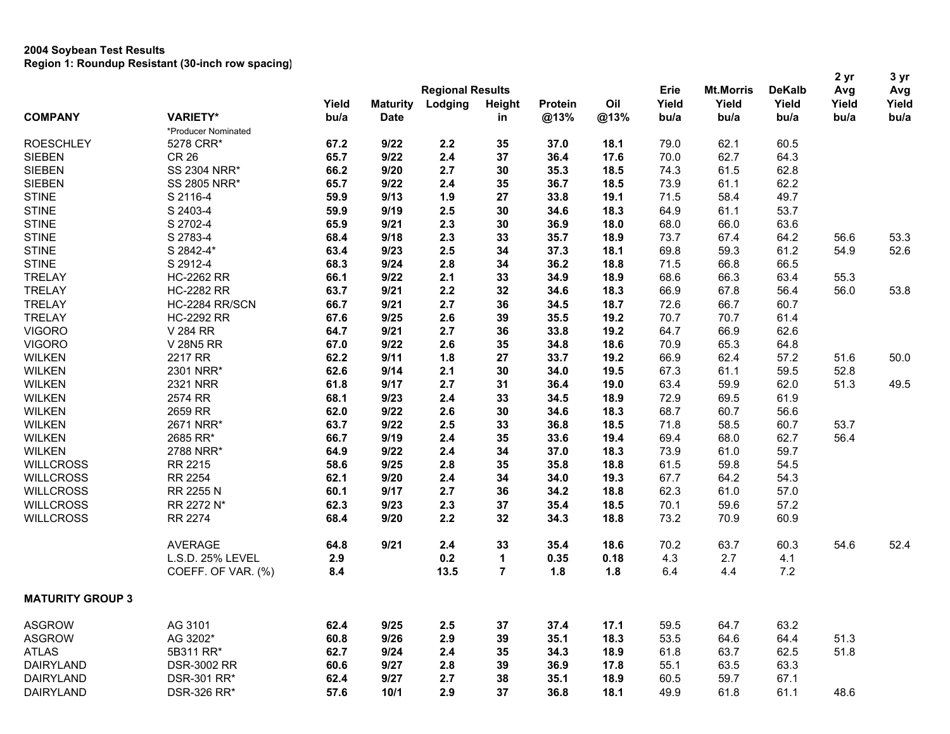|                         |                     |       |                 |                         |        |         |      |       |                  |               | 2 yr  | 3 yr  |
|-------------------------|---------------------|-------|-----------------|-------------------------|--------|---------|------|-------|------------------|---------------|-------|-------|
|                         |                     |       |                 | <b>Regional Results</b> |        |         |      | Erie  | <b>Mt.Morris</b> | <b>DeKalb</b> | Avg   | Avg   |
|                         |                     | Yield | <b>Maturity</b> | Lodging                 | Height | Protein | Oil  | Yield | Yield            | Yield         | Yield | Yield |
| <b>COMPANY</b>          | <b>VARIETY*</b>     | bu/a  | <b>Date</b>     |                         | in     | @13%    | @13% | bu/a  | bu/a             | bu/a          | bu/a  | bu/a  |
|                         | *Producer Nominated |       |                 |                         |        |         |      |       |                  |               |       |       |
| <b>ROESCHLEY</b>        | 5278 CRR*           | 67.2  | 9/22            | 2.2                     | 35     | 37.0    | 18.1 | 79.0  | 62.1             | 60.5          |       |       |
| <b>SIEBEN</b>           | <b>CR 26</b>        | 65.7  | 9/22            | 2.4                     | 37     | 36.4    | 17.6 | 70.0  | 62.7             | 64.3          |       |       |
| <b>SIEBEN</b>           | <b>SS 2304 NRR*</b> | 66.2  | 9/20            | 2.7                     | 30     | 35.3    | 18.5 | 74.3  | 61.5             | 62.8          |       |       |
| <b>SIEBEN</b>           | <b>SS 2805 NRR*</b> | 65.7  | 9/22            | 2.4                     | 35     | 36.7    | 18.5 | 73.9  | 61.1             | 62.2          |       |       |
| <b>STINE</b>            | S 2116-4            | 59.9  | 9/13            | 1.9                     | 27     | 33.8    | 19.1 | 71.5  | 58.4             | 49.7          |       |       |
| <b>STINE</b>            | S 2403-4            | 59.9  | 9/19            | 2.5                     | 30     | 34.6    | 18.3 | 64.9  | 61.1             | 53.7          |       |       |
| <b>STINE</b>            | S 2702-4            | 65.9  | 9/21            | 2.3                     | 30     | 36.9    | 18.0 | 68.0  | 66.0             | 63.6          |       |       |
| <b>STINE</b>            | S 2783-4            | 68.4  | 9/18            | 2.3                     | 33     | 35.7    | 18.9 | 73.7  | 67.4             | 64.2          | 56.6  | 53.3  |
| <b>STINE</b>            | S 2842-4*           | 63.4  | 9/23            | 2.5                     | 34     | 37.3    | 18.1 | 69.8  | 59.3             | 61.2          | 54.9  | 52.6  |
| <b>STINE</b>            | S 2912-4            | 68.3  | 9/24            | 2.8                     | 34     | 36.2    | 18.8 | 71.5  | 66.8             | 66.5          |       |       |
| <b>TRELAY</b>           | <b>HC-2262 RR</b>   | 66.1  | 9/22            | 2.1                     | 33     | 34.9    | 18.9 | 68.6  | 66.3             | 63.4          | 55.3  |       |
| <b>TRELAY</b>           | <b>HC-2282 RR</b>   | 63.7  | 9/21            | 2.2                     | 32     | 34.6    | 18.3 | 66.9  | 67.8             | 56.4          | 56.0  | 53.8  |
| <b>TRELAY</b>           | HC-2284 RR/SCN      | 66.7  | 9/21            | 2.7                     | 36     | 34.5    | 18.7 | 72.6  | 66.7             | 60.7          |       |       |
| <b>TRELAY</b>           | <b>HC-2292 RR</b>   | 67.6  | 9/25            | 2.6                     | 39     | 35.5    | 19.2 | 70.7  | 70.7             | 61.4          |       |       |
| <b>VIGORO</b>           | V 284 RR            | 64.7  | 9/21            | 2.7                     | 36     | 33.8    | 19.2 | 64.7  | 66.9             | 62.6          |       |       |
| <b>VIGORO</b>           | V 28N5 RR           | 67.0  | 9/22            | 2.6                     | 35     | 34.8    | 18.6 | 70.9  | 65.3             | 64.8          |       |       |
| <b>WILKEN</b>           | 2217 RR             | 62.2  | 9/11            | 1.8                     | 27     | 33.7    | 19.2 | 66.9  | 62.4             | 57.2          | 51.6  | 50.0  |
| <b>WILKEN</b>           | 2301 NRR*           | 62.6  | 9/14            | 2.1                     | 30     | 34.0    | 19.5 | 67.3  | 61.1             | 59.5          | 52.8  |       |
| <b>WILKEN</b>           | 2321 NRR            | 61.8  | 9/17            | 2.7                     | 31     | 36.4    | 19.0 | 63.4  | 59.9             | 62.0          | 51.3  | 49.5  |
| <b>WILKEN</b>           | 2574 RR             | 68.1  | 9/23            | 2.4                     | 33     | 34.5    | 18.9 | 72.9  | 69.5             | 61.9          |       |       |
| <b>WILKEN</b>           | 2659 RR             | 62.0  | 9/22            | 2.6                     | 30     | 34.6    | 18.3 | 68.7  | 60.7             | 56.6          |       |       |
| <b>WILKEN</b>           | 2671 NRR*           | 63.7  | 9/22            | 2.5                     | 33     | 36.8    | 18.5 | 71.8  | 58.5             | 60.7          | 53.7  |       |
| <b>WILKEN</b>           | 2685 RR*            | 66.7  | 9/19            | 2.4                     | 35     | 33.6    | 19.4 | 69.4  | 68.0             | 62.7          | 56.4  |       |
| <b>WILKEN</b>           | 2788 NRR*           | 64.9  | 9/22            | 2.4                     | 34     | 37.0    | 18.3 | 73.9  | 61.0             | 59.7          |       |       |
| <b>WILLCROSS</b>        | RR 2215             | 58.6  | 9/25            | 2.8                     | 35     | 35.8    | 18.8 | 61.5  | 59.8             | 54.5          |       |       |
| <b>WILLCROSS</b>        | <b>RR 2254</b>      | 62.1  | 9/20            | 2.4                     | 34     | 34.0    | 19.3 | 67.7  | 64.2             | 54.3          |       |       |
| <b>WILLCROSS</b>        | RR 2255 N           | 60.1  | 9/17            | 2.7                     | 36     | 34.2    | 18.8 | 62.3  | 61.0             | 57.0          |       |       |
| <b>WILLCROSS</b>        | RR 2272 N*          | 62.3  | 9/23            | 2.3                     | 37     | 35.4    | 18.5 | 70.1  | 59.6             | 57.2          |       |       |
| <b>WILLCROSS</b>        | <b>RR 2274</b>      | 68.4  | 9/20            | 2.2                     | 32     | 34.3    | 18.8 | 73.2  | 70.9             | 60.9          |       |       |
|                         |                     |       |                 |                         |        |         |      |       |                  |               |       |       |
|                         | <b>AVERAGE</b>      | 64.8  | 9/21            | 2.4                     | 33     | 35.4    | 18.6 | 70.2  | 63.7             | 60.3          | 54.6  | 52.4  |
|                         | L.S.D. 25% LEVEL    | 2.9   |                 | 0.2                     | 1      | 0.35    | 0.18 | 4.3   | 2.7              | 4.1           |       |       |
|                         | COEFF. OF VAR. (%)  | 8.4   |                 | 13.5                    | 7      | 1.8     | 1.8  | 6.4   | 4.4              | 7.2           |       |       |
| <b>MATURITY GROUP 3</b> |                     |       |                 |                         |        |         |      |       |                  |               |       |       |
| <b>ASGROW</b>           | AG 3101             | 62.4  | 9/25            | 2.5                     | 37     | 37.4    | 17.1 | 59.5  | 64.7             | 63.2          |       |       |
| <b>ASGROW</b>           | AG 3202*            | 60.8  | 9/26            | 2.9                     | 39     | 35.1    | 18.3 | 53.5  | 64.6             | 64.4          | 51.3  |       |
| <b>ATLAS</b>            | 5B311 RR*           | 62.7  | 9/24            | 2.4                     | 35     | 34.3    | 18.9 | 61.8  | 63.7             | 62.5          | 51.8  |       |
| <b>DAIRYLAND</b>        | <b>DSR-3002 RR</b>  | 60.6  | 9/27            | 2.8                     | 39     | 36.9    | 17.8 | 55.1  | 63.5             | 63.3          |       |       |
|                         |                     |       |                 | 2.7                     |        |         |      | 60.5  | 59.7             | 67.1          |       |       |
| <b>DAIRYLAND</b>        | DSR-301 RR*         | 62.4  | 9/27            |                         | 38     | 35.1    | 18.9 |       |                  |               |       |       |
| <b>DAIRYLAND</b>        | DSR-326 RR*         | 57.6  | 10/1            | 2.9                     | 37     | 36.8    | 18.1 | 49.9  | 61.8             | 61.1          | 48.6  |       |